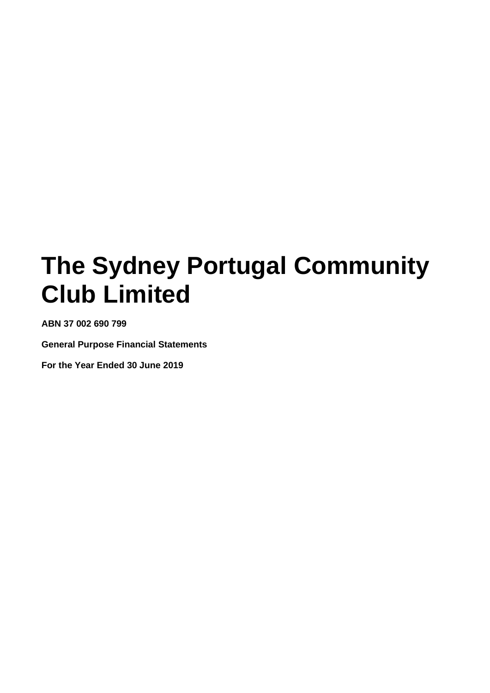**ABN 37 002 690 799**

**General Purpose Financial Statements**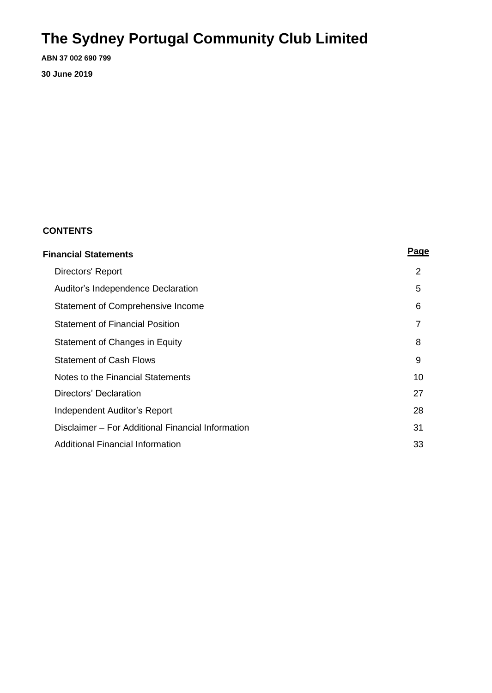**ABN 37 002 690 799**

**30 June 2019**

### **CONTENTS**

| <b>Financial Statements</b>                       | Page           |
|---------------------------------------------------|----------------|
| Directors' Report                                 | 2              |
| Auditor's Independence Declaration                | 5              |
| Statement of Comprehensive Income                 | 6              |
| <b>Statement of Financial Position</b>            | $\overline{7}$ |
| Statement of Changes in Equity                    | 8              |
| <b>Statement of Cash Flows</b>                    | 9              |
| Notes to the Financial Statements                 | 10             |
| Directors' Declaration                            | 27             |
| Independent Auditor's Report                      | 28             |
| Disclaimer – For Additional Financial Information | 31             |
| Additional Financial Information                  | 33             |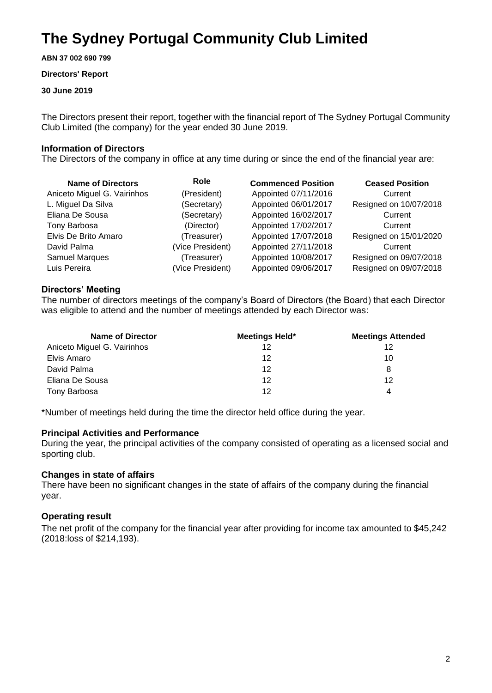**ABN 37 002 690 799**

#### **Directors' Report**

#### **30 June 2019**

The Directors present their report, together with the financial report of The Sydney Portugal Community Club Limited (the company) for the year ended 30 June 2019.

#### **Information of Directors**

The Directors of the company in office at any time during or since the end of the financial year are:

| <b>Name of Directors</b>    | Role             | <b>Commenced Position</b> | <b>Ceased Position</b> |
|-----------------------------|------------------|---------------------------|------------------------|
| Aniceto Miguel G. Vairinhos | (President)      | Appointed 07/11/2016      | Current                |
| L. Miguel Da Silva          | (Secretary)      | Appointed 06/01/2017      | Resigned on 10/07/2018 |
| Eliana De Sousa             | (Secretary)      | Appointed 16/02/2017      | Current                |
| Tony Barbosa                | (Director)       | Appointed 17/02/2017      | Current                |
| Elvis De Brito Amaro        | (Treasurer)      | Appointed 17/07/2018      | Resigned on 15/01/2020 |
| David Palma                 | (Vice President) | Appointed 27/11/2018      | Current                |
| <b>Samuel Marques</b>       | (Treasurer)      | Appointed 10/08/2017      | Resigned on 09/07/2018 |
| Luis Pereira                | (Vice President) | Appointed 09/06/2017      | Resigned on 09/07/2018 |

#### **Directors' Meeting**

The number of directors meetings of the company's Board of Directors (the Board) that each Director was eligible to attend and the number of meetings attended by each Director was:

| <b>Name of Director</b>     | Meetings Held* | <b>Meetings Attended</b> |
|-----------------------------|----------------|--------------------------|
| Aniceto Miguel G. Vairinhos | 12             | 12                       |
| Elvis Amaro                 | 12             | 10                       |
| David Palma                 | 12             | 8                        |
| Eliana De Sousa             | 12             | 12                       |
| Tony Barbosa                | 12             | 4                        |

\*Number of meetings held during the time the director held office during the year.

#### **Principal Activities and Performance**

During the year, the principal activities of the company consisted of operating as a licensed social and sporting club.

#### **Changes in state of affairs**

There have been no significant changes in the state of affairs of the company during the financial year.

#### **Operating result**

The net profit of the company for the financial year after providing for income tax amounted to \$45,242 (2018:loss of \$214,193).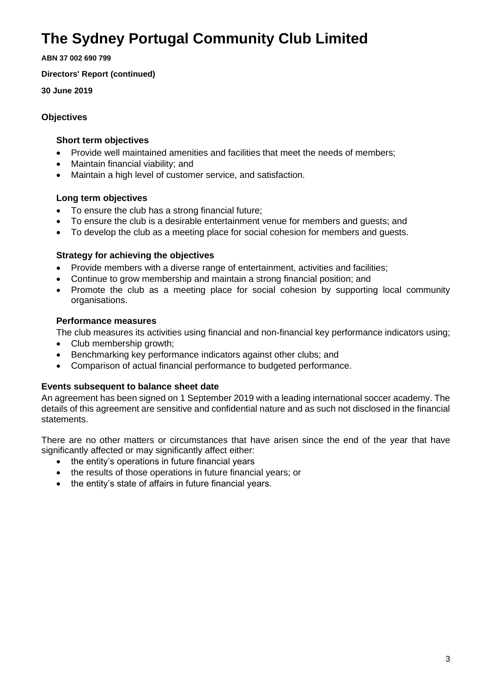**ABN 37 002 690 799**

**Directors' Report (continued)**

**30 June 2019**

#### **Objectives**

#### **Short term objectives**

- Provide well maintained amenities and facilities that meet the needs of members;
- Maintain financial viability; and
- Maintain a high level of customer service, and satisfaction.

### **Long term objectives**

- To ensure the club has a strong financial future;
- To ensure the club is a desirable entertainment venue for members and guests; and
- To develop the club as a meeting place for social cohesion for members and guests.

### **Strategy for achieving the objectives**

- Provide members with a diverse range of entertainment, activities and facilities;
- Continue to grow membership and maintain a strong financial position; and
- Promote the club as a meeting place for social cohesion by supporting local community organisations.

### **Performance measures**

The club measures its activities using financial and non-financial key performance indicators using;

- Club membership growth:
- Benchmarking key performance indicators against other clubs; and
- Comparison of actual financial performance to budgeted performance.

### **Events subsequent to balance sheet date**

An agreement has been signed on 1 September 2019 with a leading international soccer academy. The details of this agreement are sensitive and confidential nature and as such not disclosed in the financial statements.

There are no other matters or circumstances that have arisen since the end of the year that have significantly affected or may significantly affect either:

- the entity's operations in future financial years
- the results of those operations in future financial years; or
- the entity's state of affairs in future financial years.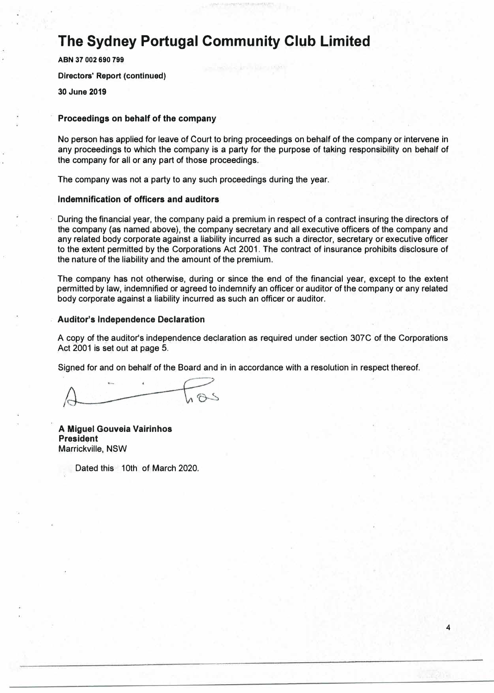**ABN 37 002 690 799 Directors' Report (continued) 30 June 2019** 

#### **Proceedings on behalf of the company**

No person has applied for leave of Court to bring proceedings on behalf of the company or intervene in any proceedings to which the company is a party for the purpose of taking responsibility on behalf of the company for all or any part of those proceedings.

The company was not a party to any such proceedings during the year.

#### **Indemnification of officers and auditors**

During the financial year, the company paid a premium in respect of a contract insuring the directors of the company (as named above), the company secretary and all executive officers of the company and any related body corporate against a liability incurred as such a director, secretary or executive officer to the extent permitted by the Corporations Act 2001. The contract of insurance prohibits disclosure of the nature of the liability and the amount of the premium.

The company has not otherwise, during or since the end of the financial year, except to the extent permitted by law, indemnified or agreed to indemnify an officer or auditor of the company or any related body corporate against a liability incurred as such an officer or auditor.

#### **Auditor's Independence Declaration**

A copy of the auditor's independence declaration as required under section 307C of the Corporations Act 2001 is set out at page 5.

Signed for and on behalf of the Board and in in accordance with a resolution in respect thereof.

**A Miguel Gouveia Vairinhos President**  Marrickville, NSW

Dated this 10th of March 2020.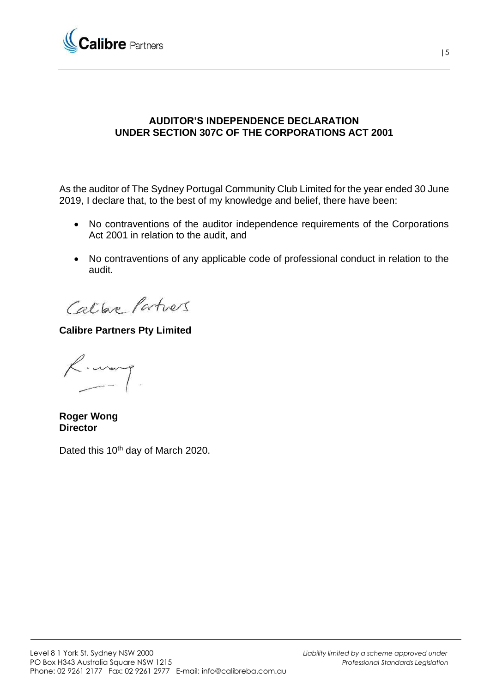

### **AUDITOR'S INDEPENDENCE DECLARATION UNDER SECTION 307C OF THE CORPORATIONS ACT 2001**

As the auditor of The Sydney Portugal Community Club Limited for the year ended 30 June 2019, I declare that, to the best of my knowledge and belief, there have been:

- No contraventions of the auditor independence requirements of the Corporations Act 2001 in relation to the audit, and
- No contraventions of any applicable code of professional conduct in relation to the audit.

Calbre Partners

**Calibre Partners Pty Limited**

 $\zeta$ . warp

**Roger Wong Director**

Dated this 10<sup>th</sup> day of March 2020.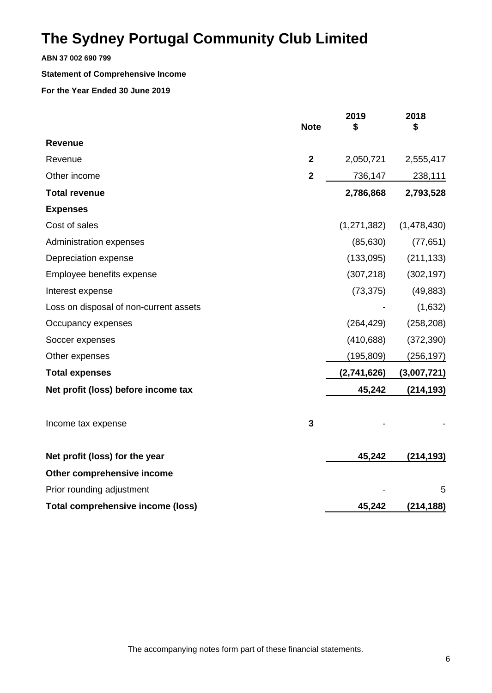**ABN 37 002 690 799**

#### **Statement of Comprehensive Income**

|                                          | <b>Note</b>    | 2019<br>S     | 2018<br>\$  |
|------------------------------------------|----------------|---------------|-------------|
| <b>Revenue</b>                           |                |               |             |
| Revenue                                  | $\mathbf{2}$   | 2,050,721     | 2,555,417   |
| Other income                             | $\overline{2}$ | 736,147       | 238,111     |
| <b>Total revenue</b>                     |                | 2,786,868     | 2,793,528   |
| <b>Expenses</b>                          |                |               |             |
| Cost of sales                            |                | (1, 271, 382) | (1,478,430) |
| Administration expenses                  |                | (85, 630)     | (77, 651)   |
| Depreciation expense                     |                | (133,095)     | (211, 133)  |
| Employee benefits expense                |                | (307, 218)    | (302, 197)  |
| Interest expense                         |                | (73, 375)     | (49, 883)   |
| Loss on disposal of non-current assets   |                |               | (1,632)     |
| Occupancy expenses                       |                | (264, 429)    | (258, 208)  |
| Soccer expenses                          |                | (410, 688)    | (372, 390)  |
| Other expenses                           |                | (195, 809)    | (256, 197)  |
| <b>Total expenses</b>                    |                | (2,741,626)   | (3,007,721) |
| Net profit (loss) before income tax      |                | 45,242        | (214, 193)  |
| Income tax expense                       | 3              |               |             |
| Net profit (loss) for the year           |                | 45,242        | (214, 193)  |
| Other comprehensive income               |                |               |             |
| Prior rounding adjustment                |                |               | 5           |
| <b>Total comprehensive income (loss)</b> |                | 45,242        | (214, 188)  |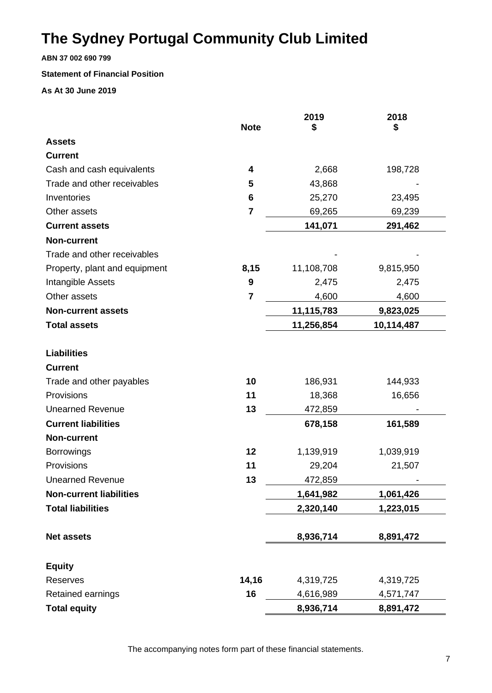**ABN 37 002 690 799**

#### **Statement of Financial Position**

**As At 30 June 2019**

|                                | <b>Note</b>             | 2019       | 2018       |
|--------------------------------|-------------------------|------------|------------|
| <b>Assets</b>                  |                         | \$         | \$         |
| <b>Current</b>                 |                         |            |            |
| Cash and cash equivalents      | 4                       | 2,668      | 198,728    |
| Trade and other receivables    | 5                       | 43,868     |            |
| Inventories                    | 6                       |            |            |
| Other assets                   | $\overline{\mathbf{r}}$ | 25,270     | 23,495     |
|                                |                         | 69,265     | 69,239     |
| <b>Current assets</b>          |                         | 141,071    | 291,462    |
| <b>Non-current</b>             |                         |            |            |
| Trade and other receivables    |                         |            |            |
| Property, plant and equipment  | 8,15                    | 11,108,708 | 9,815,950  |
| Intangible Assets              | 9                       | 2,475      | 2,475      |
| Other assets                   | $\overline{\mathbf{r}}$ | 4,600      | 4,600      |
| <b>Non-current assets</b>      |                         | 11,115,783 | 9,823,025  |
| <b>Total assets</b>            |                         | 11,256,854 | 10,114,487 |
| <b>Liabilities</b>             |                         |            |            |
| <b>Current</b>                 |                         |            |            |
| Trade and other payables       | 10                      | 186,931    | 144,933    |
| Provisions                     | 11                      | 18,368     | 16,656     |
| <b>Unearned Revenue</b>        | 13                      | 472,859    |            |
| <b>Current liabilities</b>     |                         | 678,158    | 161,589    |
| <b>Non-current</b>             |                         |            |            |
| <b>Borrowings</b>              | 12                      | 1,139,919  | 1,039,919  |
| Provisions                     | 11                      | 29,204     | 21,507     |
| <b>Unearned Revenue</b>        | 13                      | 472,859    |            |
| <b>Non-current liabilities</b> |                         | 1,641,982  | 1,061,426  |
| <b>Total liabilities</b>       |                         | 2,320,140  | 1,223,015  |
| <b>Net assets</b>              |                         | 8,936,714  | 8,891,472  |
|                                |                         |            |            |
| <b>Equity</b>                  |                         |            |            |
| Reserves                       | 14,16                   | 4,319,725  | 4,319,725  |
| Retained earnings              | 16                      | 4,616,989  | 4,571,747  |
| <b>Total equity</b>            |                         | 8,936,714  | 8,891,472  |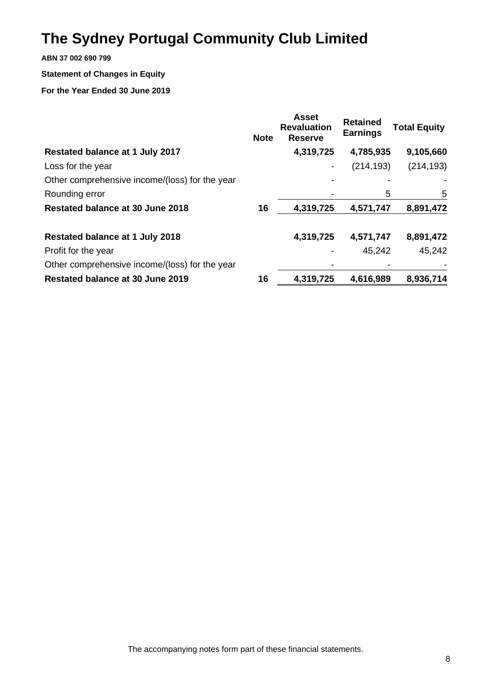**ABN 37 002 690 799**

### **Statement of Changes in Equity**

|                                                | <b>Note</b> | <b>Asset</b><br><b>Revaluation</b><br><b>Reserve</b> | <b>Retained</b><br><b>Earnings</b> | <b>Total Equity</b> |
|------------------------------------------------|-------------|------------------------------------------------------|------------------------------------|---------------------|
| Restated balance at 1 July 2017                |             | 4,319,725                                            | 4,785,935                          | 9,105,660           |
| Loss for the year                              |             |                                                      | (214, 193)                         | (214, 193)          |
| Other comprehensive income/(loss) for the year |             |                                                      |                                    |                     |
| Rounding error                                 |             |                                                      | 5                                  | 5                   |
| Restated balance at 30 June 2018               | 16          | 4,319,725                                            | 4,571,747                          | 8,891,472           |
| <b>Restated balance at 1 July 2018</b>         |             | 4,319,725                                            | 4,571,747                          | 8,891,472           |
| Profit for the year                            |             |                                                      | 45,242                             | 45,242              |
| Other comprehensive income/(loss) for the year |             |                                                      |                                    |                     |
| Restated balance at 30 June 2019               | 16          | 4,319,725                                            | 4,616,989                          | 8,936,714           |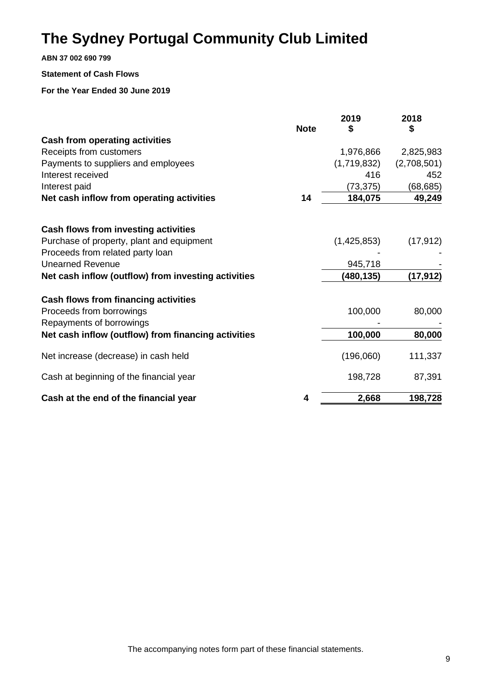**ABN 37 002 690 799**

#### **Statement of Cash Flows**

|                                                     | <b>Note</b> | 2019<br>\$  | 2018<br>\$  |
|-----------------------------------------------------|-------------|-------------|-------------|
| <b>Cash from operating activities</b>               |             |             |             |
| Receipts from customers                             |             | 1,976,866   | 2,825,983   |
| Payments to suppliers and employees                 |             | (1,719,832) | (2,708,501) |
| Interest received                                   |             | 416         | 452         |
| Interest paid                                       |             | (73, 375)   | (68, 685)   |
| Net cash inflow from operating activities           | 14          | 184,075     | 49,249      |
| <b>Cash flows from investing activities</b>         |             |             |             |
| Purchase of property, plant and equipment           |             | (1,425,853) | (17, 912)   |
| Proceeds from related party loan                    |             |             |             |
| <b>Unearned Revenue</b>                             |             | 945,718     |             |
| Net cash inflow (outflow) from investing activities |             | (480, 135)  | (17, 912)   |
| <b>Cash flows from financing activities</b>         |             |             |             |
| Proceeds from borrowings                            |             | 100,000     | 80,000      |
| Repayments of borrowings                            |             |             |             |
| Net cash inflow (outflow) from financing activities |             | 100,000     | 80,000      |
| Net increase (decrease) in cash held                |             | (196,060)   | 111,337     |
| Cash at beginning of the financial year             |             | 198,728     | 87,391      |
| Cash at the end of the financial year               | 4           | 2,668       | 198,728     |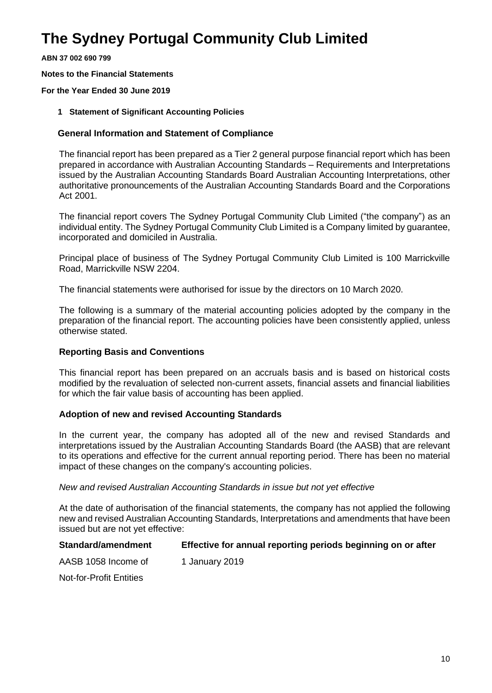**ABN 37 002 690 799**

**Notes to the Financial Statements**

#### **For the Year Ended 30 June 2019**

**1 Statement of Significant Accounting Policies**

#### **General Information and Statement of Compliance**

The financial report has been prepared as a Tier 2 general purpose financial report which has been prepared in accordance with Australian Accounting Standards – Requirements and Interpretations issued by the Australian Accounting Standards Board Australian Accounting Interpretations, other authoritative pronouncements of the Australian Accounting Standards Board and the Corporations Act 2001.

The financial report covers The Sydney Portugal Community Club Limited ("the company") as an individual entity. The Sydney Portugal Community Club Limited is a Company limited by guarantee, incorporated and domiciled in Australia.

Principal place of business of The Sydney Portugal Community Club Limited is 100 Marrickville Road, Marrickville NSW 2204.

The financial statements were authorised for issue by the directors on 10 March 2020.

The following is a summary of the material accounting policies adopted by the company in the preparation of the financial report. The accounting policies have been consistently applied, unless otherwise stated.

#### **Reporting Basis and Conventions**

This financial report has been prepared on an accruals basis and is based on historical costs modified by the revaluation of selected non-current assets, financial assets and financial liabilities for which the fair value basis of accounting has been applied.

#### **Adoption of new and revised Accounting Standards**

In the current year, the company has adopted all of the new and revised Standards and interpretations issued by the Australian Accounting Standards Board (the AASB) that are relevant to its operations and effective for the current annual reporting period. There has been no material impact of these changes on the company's accounting policies.

#### *New and revised Australian Accounting Standards in issue but not yet effective*

At the date of authorisation of the financial statements, the company has not applied the following new and revised Australian Accounting Standards, Interpretations and amendments that have been issued but are not yet effective:

#### **Standard/amendment Effective for annual reporting periods beginning on or after**

AASB 1058 Income of 1 January 2019

Not-for-Profit Entities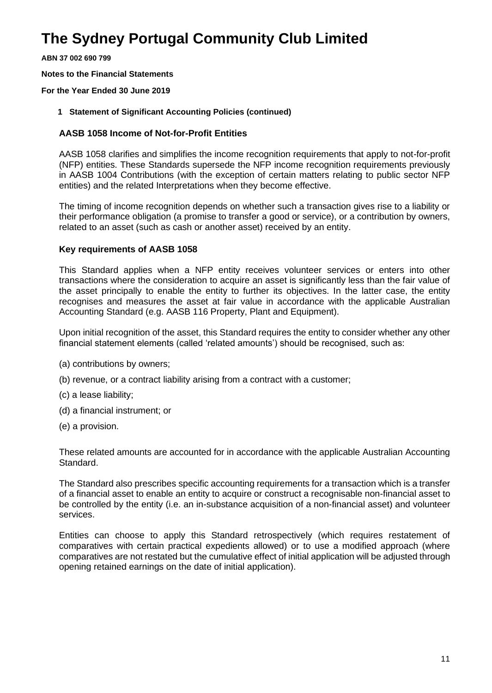**ABN 37 002 690 799**

**Notes to the Financial Statements**

#### **For the Year Ended 30 June 2019**

**1 Statement of Significant Accounting Policies (continued)**

#### **AASB 1058 Income of Not-for-Profit Entities**

AASB 1058 clarifies and simplifies the income recognition requirements that apply to not-for-profit (NFP) entities. These Standards supersede the NFP income recognition requirements previously in AASB 1004 Contributions (with the exception of certain matters relating to public sector NFP entities) and the related Interpretations when they become effective.

The timing of income recognition depends on whether such a transaction gives rise to a liability or their performance obligation (a promise to transfer a good or service), or a contribution by owners, related to an asset (such as cash or another asset) received by an entity.

#### **Key requirements of AASB 1058**

This Standard applies when a NFP entity receives volunteer services or enters into other transactions where the consideration to acquire an asset is significantly less than the fair value of the asset principally to enable the entity to further its objectives. In the latter case, the entity recognises and measures the asset at fair value in accordance with the applicable Australian Accounting Standard (e.g. AASB 116 Property, Plant and Equipment).

Upon initial recognition of the asset, this Standard requires the entity to consider whether any other financial statement elements (called 'related amounts') should be recognised, such as:

- (a) contributions by owners;
- (b) revenue, or a contract liability arising from a contract with a customer;
- (c) a lease liability;
- (d) a financial instrument; or
- (e) a provision.

These related amounts are accounted for in accordance with the applicable Australian Accounting Standard.

The Standard also prescribes specific accounting requirements for a transaction which is a transfer of a financial asset to enable an entity to acquire or construct a recognisable non-financial asset to be controlled by the entity (i.e. an in-substance acquisition of a non-financial asset) and volunteer services.

Entities can choose to apply this Standard retrospectively (which requires restatement of comparatives with certain practical expedients allowed) or to use a modified approach (where comparatives are not restated but the cumulative effect of initial application will be adjusted through opening retained earnings on the date of initial application).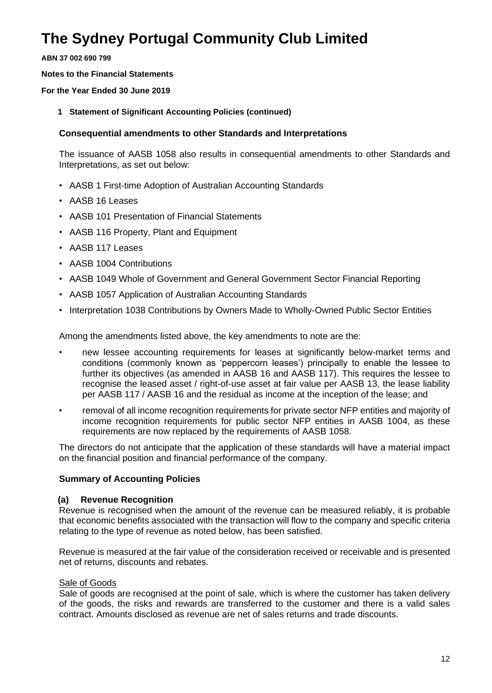**ABN 37 002 690 799**

**Notes to the Financial Statements**

**For the Year Ended 30 June 2019**

**1 Statement of Significant Accounting Policies (continued)**

### **Consequential amendments to other Standards and Interpretations**

The issuance of AASB 1058 also results in consequential amendments to other Standards and Interpretations, as set out below:

- AASB 1 First-time Adoption of Australian Accounting Standards
- AASB 16 Leases
- AASB 101 Presentation of Financial Statements
- AASB 116 Property, Plant and Equipment
- AASB 117 Leases
- AASB 1004 Contributions
- AASB 1049 Whole of Government and General Government Sector Financial Reporting
- AASB 1057 Application of Australian Accounting Standards
- Interpretation 1038 Contributions by Owners Made to Wholly-Owned Public Sector Entities

Among the amendments listed above, the key amendments to note are the:

- new lessee accounting requirements for leases at significantly below-market terms and conditions (commonly known as 'peppercorn leases') principally to enable the lessee to further its objectives (as amended in AASB 16 and AASB 117). This requires the lessee to recognise the leased asset / right-of-use asset at fair value per AASB 13, the lease liability per AASB 117 / AASB 16 and the residual as income at the inception of the lease; and
- removal of all income recognition requirements for private sector NFP entities and majority of income recognition requirements for public sector NFP entities in AASB 1004, as these requirements are now replaced by the requirements of AASB 1058.

The directors do not anticipate that the application of these standards will have a material impact on the financial position and financial performance of the company.

### **Summary of Accounting Policies**

#### **(a) Revenue Recognition**

Revenue is recognised when the amount of the revenue can be measured reliably, it is probable that economic benefits associated with the transaction will flow to the company and specific criteria relating to the type of revenue as noted below, has been satisfied.

Revenue is measured at the fair value of the consideration received or receivable and is presented net of returns, discounts and rebates.

#### Sale of Goods

Sale of goods are recognised at the point of sale, which is where the customer has taken delivery of the goods, the risks and rewards are transferred to the customer and there is a valid sales contract. Amounts disclosed as revenue are net of sales returns and trade discounts.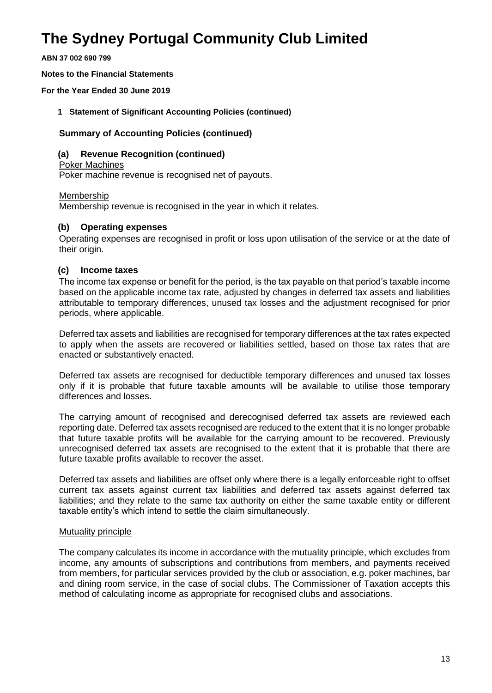**ABN 37 002 690 799**

**Notes to the Financial Statements**

**For the Year Ended 30 June 2019**

**1 Statement of Significant Accounting Policies (continued)**

#### **Summary of Accounting Policies (continued)**

#### **(a) Revenue Recognition (continued)**

Poker Machines

Poker machine revenue is recognised net of payouts.

#### Membership

Membership revenue is recognised in the year in which it relates.

#### **(b) Operating expenses**

Operating expenses are recognised in profit or loss upon utilisation of the service or at the date of their origin.

#### **(c) Income taxes**

The income tax expense or benefit for the period, is the tax payable on that period's taxable income based on the applicable income tax rate, adjusted by changes in deferred tax assets and liabilities attributable to temporary differences, unused tax losses and the adjustment recognised for prior periods, where applicable.

Deferred tax assets and liabilities are recognised for temporary differences at the tax rates expected to apply when the assets are recovered or liabilities settled, based on those tax rates that are enacted or substantively enacted.

Deferred tax assets are recognised for deductible temporary differences and unused tax losses only if it is probable that future taxable amounts will be available to utilise those temporary differences and losses.

The carrying amount of recognised and derecognised deferred tax assets are reviewed each reporting date. Deferred tax assets recognised are reduced to the extent that it is no longer probable that future taxable profits will be available for the carrying amount to be recovered. Previously unrecognised deferred tax assets are recognised to the extent that it is probable that there are future taxable profits available to recover the asset.

Deferred tax assets and liabilities are offset only where there is a legally enforceable right to offset current tax assets against current tax liabilities and deferred tax assets against deferred tax liabilities; and they relate to the same tax authority on either the same taxable entity or different taxable entity's which intend to settle the claim simultaneously.

#### Mutuality principle

The company calculates its income in accordance with the mutuality principle, which excludes from income, any amounts of subscriptions and contributions from members, and payments received from members, for particular services provided by the club or association, e.g. poker machines, bar and dining room service, in the case of social clubs. The Commissioner of Taxation accepts this method of calculating income as appropriate for recognised clubs and associations.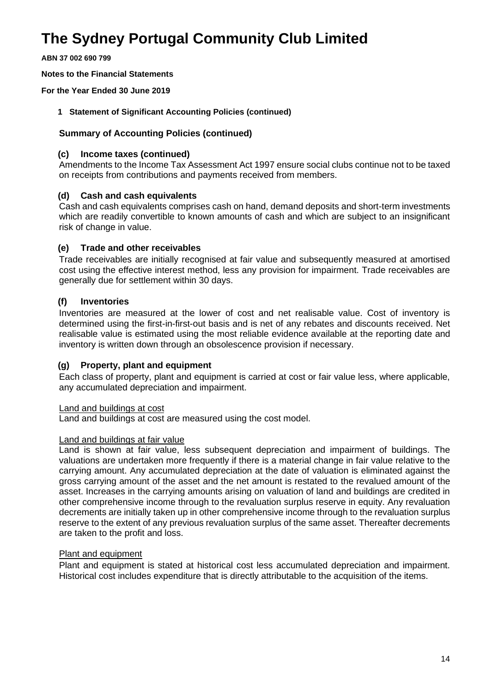**ABN 37 002 690 799**

**Notes to the Financial Statements**

**For the Year Ended 30 June 2019**

#### **1 Statement of Significant Accounting Policies (continued)**

#### **Summary of Accounting Policies (continued)**

#### **(c) Income taxes (continued)**

Amendments to the Income Tax Assessment Act 1997 ensure social clubs continue not to be taxed on receipts from contributions and payments received from members.

#### **(d) Cash and cash equivalents**

Cash and cash equivalents comprises cash on hand, demand deposits and short-term investments which are readily convertible to known amounts of cash and which are subject to an insignificant risk of change in value.

#### **(e) Trade and other receivables**

Trade receivables are initially recognised at fair value and subsequently measured at amortised cost using the effective interest method, less any provision for impairment. Trade receivables are generally due for settlement within 30 days.

#### **(f) Inventories**

Inventories are measured at the lower of cost and net realisable value. Cost of inventory is determined using the first-in-first-out basis and is net of any rebates and discounts received. Net realisable value is estimated using the most reliable evidence available at the reporting date and inventory is written down through an obsolescence provision if necessary.

### **(g) Property, plant and equipment**

Each class of property, plant and equipment is carried at cost or fair value less, where applicable, any accumulated depreciation and impairment.

#### Land and buildings at cost

Land and buildings at cost are measured using the cost model.

#### Land and buildings at fair value

Land is shown at fair value, less subsequent depreciation and impairment of buildings. The valuations are undertaken more frequently if there is a material change in fair value relative to the carrying amount. Any accumulated depreciation at the date of valuation is eliminated against the gross carrying amount of the asset and the net amount is restated to the revalued amount of the asset. Increases in the carrying amounts arising on valuation of land and buildings are credited in other comprehensive income through to the revaluation surplus reserve in equity. Any revaluation decrements are initially taken up in other comprehensive income through to the revaluation surplus reserve to the extent of any previous revaluation surplus of the same asset. Thereafter decrements are taken to the profit and loss.

#### Plant and equipment

Plant and equipment is stated at historical cost less accumulated depreciation and impairment. Historical cost includes expenditure that is directly attributable to the acquisition of the items.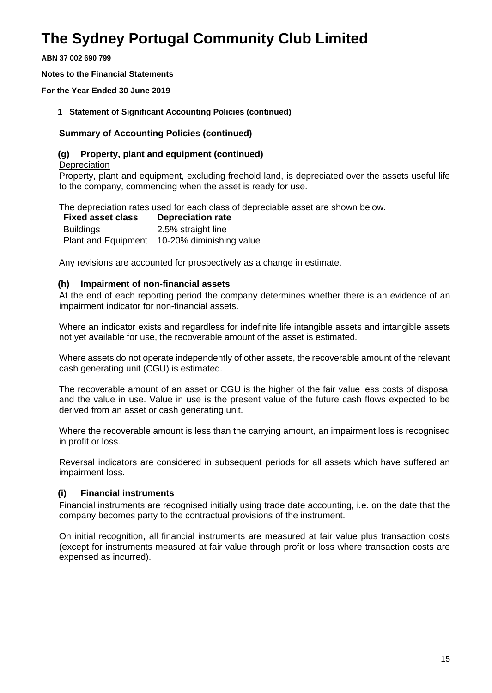**ABN 37 002 690 799**

**Notes to the Financial Statements**

**For the Year Ended 30 June 2019**

**1 Statement of Significant Accounting Policies (continued)**

#### **Summary of Accounting Policies (continued)**

#### **(g) Property, plant and equipment (continued)**

**Depreciation** 

Property, plant and equipment, excluding freehold land, is depreciated over the assets useful life to the company, commencing when the asset is ready for use.

The depreciation rates used for each class of depreciable asset are shown below.

| <b>Fixed asset class</b>   | <b>Depreciation rate</b> |
|----------------------------|--------------------------|
| <b>Buildings</b>           | 2.5% straight line       |
| <b>Plant and Equipment</b> | 10-20% diminishing value |

Any revisions are accounted for prospectively as a change in estimate.

#### **(h) Impairment of non-financial assets**

At the end of each reporting period the company determines whether there is an evidence of an impairment indicator for non-financial assets.

Where an indicator exists and regardless for indefinite life intangible assets and intangible assets not yet available for use, the recoverable amount of the asset is estimated.

Where assets do not operate independently of other assets, the recoverable amount of the relevant cash generating unit (CGU) is estimated.

The recoverable amount of an asset or CGU is the higher of the fair value less costs of disposal and the value in use. Value in use is the present value of the future cash flows expected to be derived from an asset or cash generating unit.

Where the recoverable amount is less than the carrying amount, an impairment loss is recognised in profit or loss.

Reversal indicators are considered in subsequent periods for all assets which have suffered an impairment loss.

#### **(i) Financial instruments**

Financial instruments are recognised initially using trade date accounting, i.e. on the date that the company becomes party to the contractual provisions of the instrument.

On initial recognition, all financial instruments are measured at fair value plus transaction costs (except for instruments measured at fair value through profit or loss where transaction costs are expensed as incurred).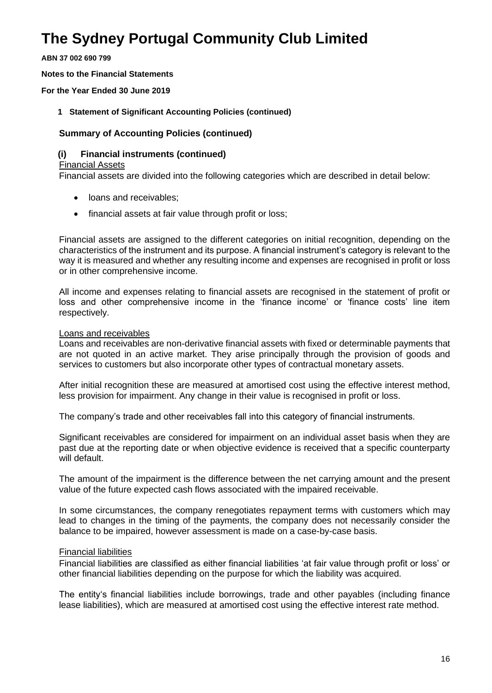**ABN 37 002 690 799**

**Notes to the Financial Statements**

**For the Year Ended 30 June 2019**

**1 Statement of Significant Accounting Policies (continued)**

#### **Summary of Accounting Policies (continued)**

#### **(i) Financial instruments (continued)**

#### Financial Assets

Financial assets are divided into the following categories which are described in detail below:

- loans and receivables:
- financial assets at fair value through profit or loss;

Financial assets are assigned to the different categories on initial recognition, depending on the characteristics of the instrument and its purpose. A financial instrument's category is relevant to the way it is measured and whether any resulting income and expenses are recognised in profit or loss or in other comprehensive income.

All income and expenses relating to financial assets are recognised in the statement of profit or loss and other comprehensive income in the 'finance income' or 'finance costs' line item respectively.

#### Loans and receivables

Loans and receivables are non-derivative financial assets with fixed or determinable payments that are not quoted in an active market. They arise principally through the provision of goods and services to customers but also incorporate other types of contractual monetary assets.

After initial recognition these are measured at amortised cost using the effective interest method, less provision for impairment. Any change in their value is recognised in profit or loss.

The company's trade and other receivables fall into this category of financial instruments.

Significant receivables are considered for impairment on an individual asset basis when they are past due at the reporting date or when objective evidence is received that a specific counterparty will default.

The amount of the impairment is the difference between the net carrying amount and the present value of the future expected cash flows associated with the impaired receivable.

In some circumstances, the company renegotiates repayment terms with customers which may lead to changes in the timing of the payments, the company does not necessarily consider the balance to be impaired, however assessment is made on a case-by-case basis.

#### Financial liabilities

Financial liabilities are classified as either financial liabilities 'at fair value through profit or loss' or other financial liabilities depending on the purpose for which the liability was acquired.

The entity's financial liabilities include borrowings, trade and other payables (including finance lease liabilities), which are measured at amortised cost using the effective interest rate method.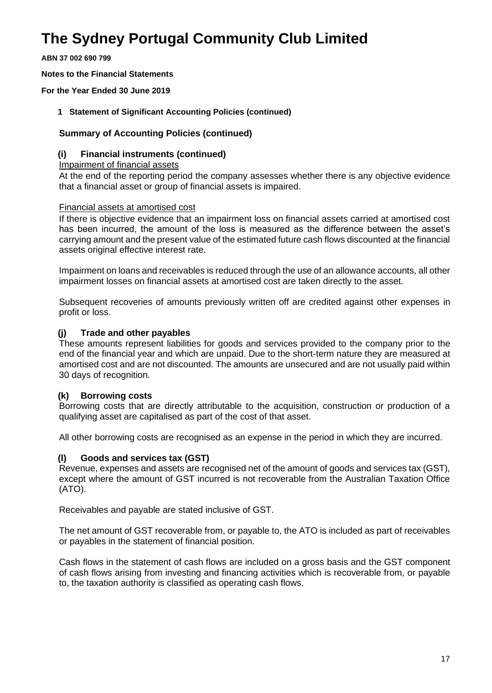**ABN 37 002 690 799**

**Notes to the Financial Statements**

**For the Year Ended 30 June 2019**

**1 Statement of Significant Accounting Policies (continued)**

#### **Summary of Accounting Policies (continued)**

#### **(i) Financial instruments (continued)**

Impairment of financial assets

At the end of the reporting period the company assesses whether there is any objective evidence that a financial asset or group of financial assets is impaired.

#### Financial assets at amortised cost

If there is objective evidence that an impairment loss on financial assets carried at amortised cost has been incurred, the amount of the loss is measured as the difference between the asset's carrying amount and the present value of the estimated future cash flows discounted at the financial assets original effective interest rate.

Impairment on loans and receivables is reduced through the use of an allowance accounts, all other impairment losses on financial assets at amortised cost are taken directly to the asset.

Subsequent recoveries of amounts previously written off are credited against other expenses in profit or loss.

#### **(j) Trade and other payables**

These amounts represent liabilities for goods and services provided to the company prior to the end of the financial year and which are unpaid. Due to the short-term nature they are measured at amortised cost and are not discounted. The amounts are unsecured and are not usually paid within 30 days of recognition.

#### **(k) Borrowing costs**

Borrowing costs that are directly attributable to the acquisition, construction or production of a qualifying asset are capitalised as part of the cost of that asset.

All other borrowing costs are recognised as an expense in the period in which they are incurred.

#### **(l) Goods and services tax (GST)**

Revenue, expenses and assets are recognised net of the amount of goods and services tax (GST), except where the amount of GST incurred is not recoverable from the Australian Taxation Office (ATO).

Receivables and payable are stated inclusive of GST.

The net amount of GST recoverable from, or payable to, the ATO is included as part of receivables or payables in the statement of financial position.

Cash flows in the statement of cash flows are included on a gross basis and the GST component of cash flows arising from investing and financing activities which is recoverable from, or payable to, the taxation authority is classified as operating cash flows.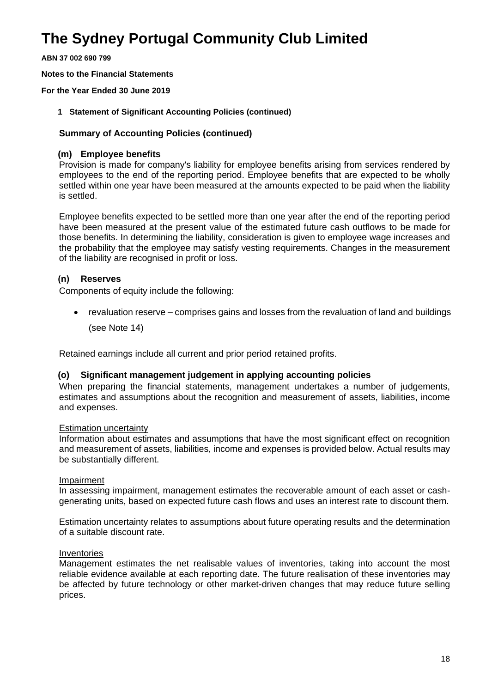**ABN 37 002 690 799**

**Notes to the Financial Statements**

**For the Year Ended 30 June 2019**

**1 Statement of Significant Accounting Policies (continued)**

#### **Summary of Accounting Policies (continued)**

#### **(m) Employee benefits**

Provision is made for company's liability for employee benefits arising from services rendered by employees to the end of the reporting period. Employee benefits that are expected to be wholly settled within one year have been measured at the amounts expected to be paid when the liability is settled.

Employee benefits expected to be settled more than one year after the end of the reporting period have been measured at the present value of the estimated future cash outflows to be made for those benefits. In determining the liability, consideration is given to employee wage increases and the probability that the employee may satisfy vesting requirements. Changes in the measurement of the liability are recognised in profit or loss.

### **(n) Reserves**

Components of equity include the following:

• revaluation reserve – comprises gains and losses from the revaluation of land and buildings (see Note 14)

Retained earnings include all current and prior period retained profits.

#### **(o) Significant management judgement in applying accounting policies**

When preparing the financial statements, management undertakes a number of judgements, estimates and assumptions about the recognition and measurement of assets, liabilities, income and expenses.

#### Estimation uncertainty

Information about estimates and assumptions that have the most significant effect on recognition and measurement of assets, liabilities, income and expenses is provided below. Actual results may be substantially different.

#### Impairment

In assessing impairment, management estimates the recoverable amount of each asset or cashgenerating units, based on expected future cash flows and uses an interest rate to discount them.

Estimation uncertainty relates to assumptions about future operating results and the determination of a suitable discount rate.

#### Inventories

Management estimates the net realisable values of inventories, taking into account the most reliable evidence available at each reporting date. The future realisation of these inventories may be affected by future technology or other market-driven changes that may reduce future selling prices.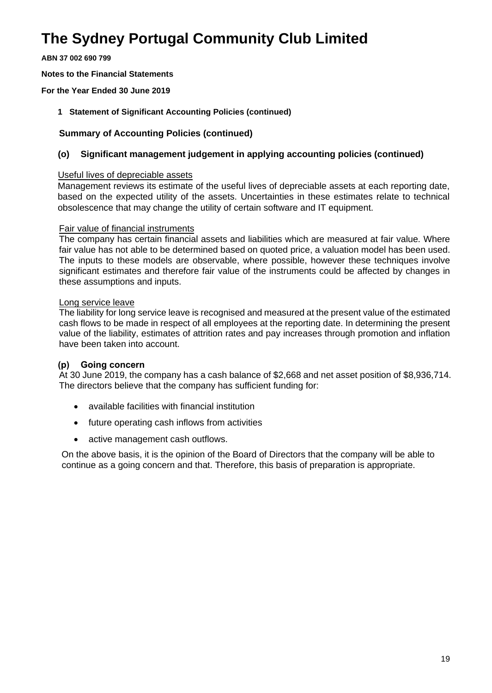**ABN 37 002 690 799**

**Notes to the Financial Statements**

**For the Year Ended 30 June 2019**

**1 Statement of Significant Accounting Policies (continued)** 

#### **Summary of Accounting Policies (continued)**

#### **(o) Significant management judgement in applying accounting policies (continued)**

#### Useful lives of depreciable assets

Management reviews its estimate of the useful lives of depreciable assets at each reporting date, based on the expected utility of the assets. Uncertainties in these estimates relate to technical obsolescence that may change the utility of certain software and IT equipment.

#### Fair value of financial instruments

The company has certain financial assets and liabilities which are measured at fair value. Where fair value has not able to be determined based on quoted price, a valuation model has been used. The inputs to these models are observable, where possible, however these techniques involve significant estimates and therefore fair value of the instruments could be affected by changes in these assumptions and inputs.

#### Long service leave

The liability for long service leave is recognised and measured at the present value of the estimated cash flows to be made in respect of all employees at the reporting date. In determining the present value of the liability, estimates of attrition rates and pay increases through promotion and inflation have been taken into account.

### **(p) Going concern**

At 30 June 2019, the company has a cash balance of \$2,668 and net asset position of \$8,936,714. The directors believe that the company has sufficient funding for:

- available facilities with financial institution
- future operating cash inflows from activities
- active management cash outflows.

On the above basis, it is the opinion of the Board of Directors that the company will be able to continue as a going concern and that. Therefore, this basis of preparation is appropriate.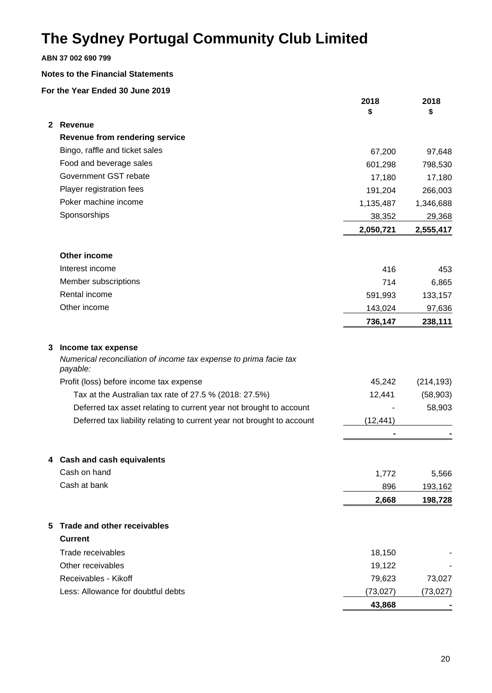#### **ABN 37 002 690 799**

#### **Notes to the Financial Statements**

|    |                                                                               | 2018<br>\$ | 2018<br>\$ |
|----|-------------------------------------------------------------------------------|------------|------------|
|    | 2 Revenue                                                                     |            |            |
|    | Revenue from rendering service                                                |            |            |
|    | Bingo, raffle and ticket sales                                                | 67,200     | 97,648     |
|    | Food and beverage sales                                                       | 601,298    | 798,530    |
|    | Government GST rebate                                                         | 17,180     | 17,180     |
|    | Player registration fees                                                      | 191,204    | 266,003    |
|    | Poker machine income                                                          | 1,135,487  | 1,346,688  |
|    | Sponsorships                                                                  | 38,352     | 29,368     |
|    |                                                                               | 2,050,721  | 2,555,417  |
|    | Other income                                                                  |            |            |
|    | Interest income                                                               | 416        | 453        |
|    | Member subscriptions                                                          | 714        | 6,865      |
|    | Rental income                                                                 | 591,993    | 133,157    |
|    | Other income                                                                  | 143,024    | 97,636     |
|    |                                                                               | 736,147    | 238,111    |
| 3. | Income tax expense                                                            |            |            |
|    | Numerical reconciliation of income tax expense to prima facie tax<br>payable: |            |            |
|    | Profit (loss) before income tax expense                                       | 45,242     | (214, 193) |
|    | Tax at the Australian tax rate of 27.5 % (2018: 27.5%)                        | 12,441     | (58, 903)  |
|    | Deferred tax asset relating to current year not brought to account            |            | 58,903     |
|    | Deferred tax liability relating to current year not brought to account        | (12, 441)  |            |
|    |                                                                               |            |            |
|    | 4 Cash and cash equivalents                                                   |            |            |
|    | Cash on hand                                                                  | 1,772      | 5,566      |
|    | Cash at bank                                                                  | 896        | 193,162    |
|    |                                                                               | 2,668      | 198,728    |
| 5. | Trade and other receivables                                                   |            |            |
|    | <b>Current</b>                                                                |            |            |
|    | Trade receivables                                                             | 18,150     |            |
|    | Other receivables                                                             | 19,122     |            |
|    | Receivables - Kikoff                                                          | 79,623     | 73,027     |
|    | Less: Allowance for doubtful debts                                            | (73, 027)  | (73, 027)  |
|    |                                                                               | 43,868     |            |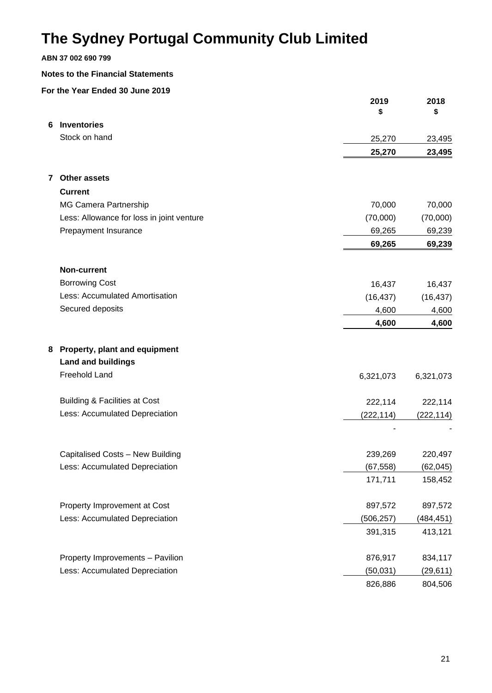#### **ABN 37 002 690 799**

#### **Notes to the Financial Statements**

|    |                                           | 2019<br>\$ | 2018<br>\$ |
|----|-------------------------------------------|------------|------------|
| 6. | <b>Inventories</b>                        |            |            |
|    | Stock on hand                             | 25,270     | 23,495     |
|    |                                           | 25,270     | 23,495     |
| 7  | <b>Other assets</b>                       |            |            |
|    | <b>Current</b>                            |            |            |
|    | MG Camera Partnership                     | 70,000     | 70,000     |
|    | Less: Allowance for loss in joint venture | (70,000)   | (70,000)   |
|    | Prepayment Insurance                      | 69,265     | 69,239     |
|    |                                           | 69,265     | 69,239     |
|    | <b>Non-current</b>                        |            |            |
|    | <b>Borrowing Cost</b>                     | 16,437     | 16,437     |
|    | Less: Accumulated Amortisation            | (16, 437)  | (16, 437)  |
|    | Secured deposits                          | 4,600      | 4,600      |
|    |                                           | 4,600      | 4,600      |
|    | 8 Property, plant and equipment           |            |            |
|    | <b>Land and buildings</b>                 |            |            |
|    | Freehold Land                             | 6,321,073  | 6,321,073  |
|    | <b>Building &amp; Facilities at Cost</b>  | 222,114    | 222,114    |
|    | Less: Accumulated Depreciation            | (222, 114) | (222, 114) |
|    |                                           |            |            |
|    | Capitalised Costs - New Building          | 239,269    | 220,497    |
|    | Less: Accumulated Depreciation            | (67, 558)  | (62, 045)  |
|    |                                           | 171,711    | 158,452    |
|    | Property Improvement at Cost              | 897,572    | 897,572    |
|    | Less: Accumulated Depreciation            | (506, 257) | (484, 451) |
|    |                                           | 391,315    | 413,121    |
|    | Property Improvements - Pavilion          | 876,917    | 834,117    |
|    | Less: Accumulated Depreciation            | (50, 031)  | (29, 611)  |
|    |                                           | 826,886    | 804,506    |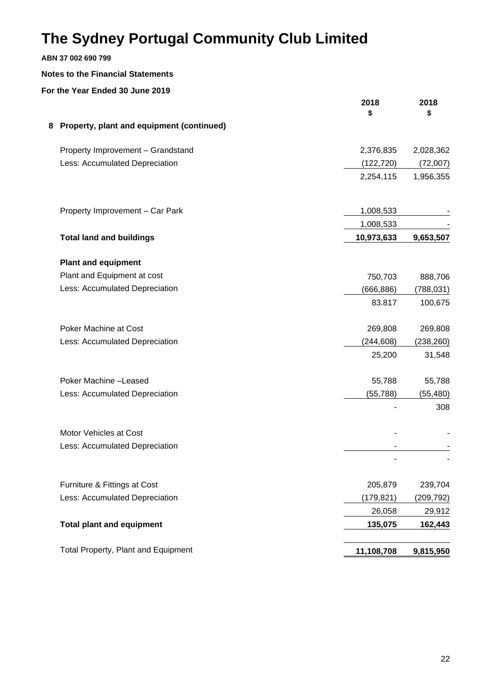### **ABN 37 002 690 799**

#### **Notes to the Financial Statements**

|   |                                           | 2018<br>\$ | 2018<br>\$ |
|---|-------------------------------------------|------------|------------|
| 8 | Property, plant and equipment (continued) |            |            |
|   | Property Improvement - Grandstand         | 2,376,835  | 2,028,362  |
|   | Less: Accumulated Depreciation            | (122, 720) | (72,007)   |
|   |                                           | 2,254,115  | 1,956,355  |
|   | Property Improvement - Car Park           | 1,008,533  |            |
|   |                                           | 1,008,533  |            |
|   | <b>Total land and buildings</b>           | 10,973,633 | 9,653,507  |
|   | <b>Plant and equipment</b>                |            |            |
|   | Plant and Equipment at cost               | 750,703    | 888,706    |
|   | Less: Accumulated Depreciation            | (666,886)  | (788, 031) |
|   |                                           | 83.817     | 100,675    |
|   | Poker Machine at Cost                     | 269,808    | 269,808    |
|   | Less: Accumulated Depreciation            | (244, 608) | (238, 260) |
|   |                                           | 25,200     | 31,548     |
|   | Poker Machine-Leased                      | 55,788     | 55,788     |
|   | Less: Accumulated Depreciation            | (55, 788)  | (55, 480)  |
|   |                                           |            | 308        |
|   | Motor Vehicles at Cost                    |            |            |
|   | Less: Accumulated Depreciation            |            |            |
|   |                                           |            |            |
|   | Furniture & Fittings at Cost              | 205,879    | 239,704    |
|   | Less: Accumulated Depreciation            | (179, 821) | (209, 792) |
|   |                                           | 26,058     | 29,912     |
|   | <b>Total plant and equipment</b>          | 135,075    | 162,443    |
|   | Total Property, Plant and Equipment       | 11,108,708 | 9,815,950  |
|   |                                           |            |            |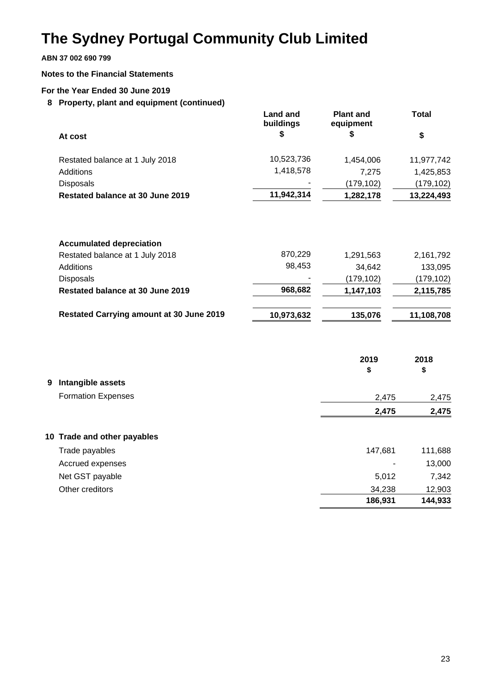**ABN 37 002 690 799**

#### **Notes to the Financial Statements**

#### **For the Year Ended 30 June 2019**

**8 Property, plant and equipment (continued)**

|                                  | Land and<br>buildings | <b>Plant and</b><br>equipment | <b>Total</b> |
|----------------------------------|-----------------------|-------------------------------|--------------|
| At cost                          | S                     | S                             | \$           |
| Restated balance at 1 July 2018  | 10,523,736            | 1.454.006                     | 11,977,742   |
| Additions                        | 1,418,578             | 7.275                         | 1,425,853    |
| <b>Disposals</b>                 |                       | (179, 102)                    | (179, 102)   |
| Restated balance at 30 June 2019 | 11,942,314            | 1,282,178                     | 13,224,493   |

| <b>Accumulated depreciation</b>                 |            |            |            |
|-------------------------------------------------|------------|------------|------------|
| Restated balance at 1 July 2018                 | 870,229    | 1,291,563  | 2,161,792  |
| Additions                                       | 98.453     | 34,642     | 133,095    |
| <b>Disposals</b>                                |            | (179, 102) | (179, 102) |
| Restated balance at 30 June 2019                | 968,682    | 1,147,103  | 2,115,785  |
| <b>Restated Carrying amount at 30 June 2019</b> | 10,973,632 | 135,076    | 11,108,708 |

|                             | 2019<br>\$ | 2018<br>\$ |
|-----------------------------|------------|------------|
| 9 Intangible assets         |            |            |
| <b>Formation Expenses</b>   | 2,475      | 2,475      |
|                             | 2,475      | 2,475      |
| 10 Trade and other payables |            |            |
| Trade payables              | 147,681    | 111,688    |
| Accrued expenses            |            | 13,000     |
| Net GST payable             | 5,012      | 7,342      |
| Other creditors             | 34,238     | 12,903     |
|                             | 186,931    | 144,933    |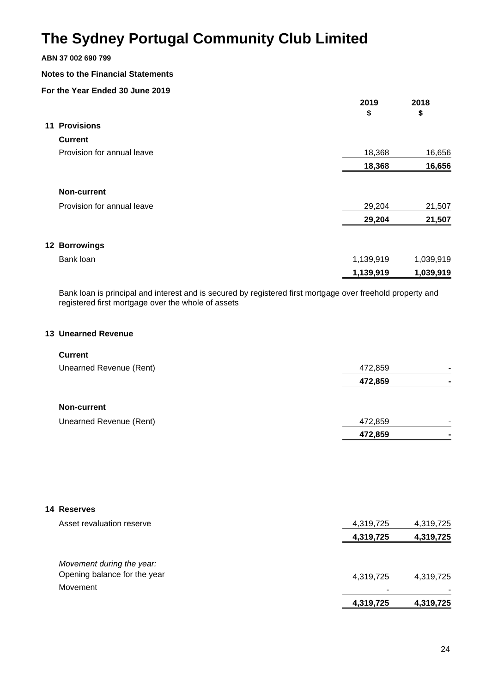### **ABN 37 002 690 799**

#### **Notes to the Financial Statements**

### **For the Year Ended 30 June 2019**

|                            | 2019      | 2018      |
|----------------------------|-----------|-----------|
|                            | \$        | \$        |
| <b>11 Provisions</b>       |           |           |
| <b>Current</b>             |           |           |
| Provision for annual leave | 18,368    | 16,656    |
|                            | 18,368    | 16,656    |
| <b>Non-current</b>         |           |           |
| Provision for annual leave | 29,204    | 21,507    |
|                            | 29,204    | 21,507    |
| 12 Borrowings              |           |           |
| Bank loan                  | 1,139,919 | 1,039,919 |
|                            | 1,139,919 | 1,039,919 |

Bank loan is principal and interest and is secured by registered first mortgage over freehold property and registered first mortgage over the whole of assets

#### **13 Unearned Revenue**

#### **Current**

| 472,859<br>-              |
|---------------------------|
| 472,859<br>$\blacksquare$ |
|                           |
|                           |
| 472,859<br>-              |
| 472,859<br>$\blacksquare$ |
|                           |

| 14 Reserves                  |           |           |
|------------------------------|-----------|-----------|
| Asset revaluation reserve    | 4,319,725 | 4,319,725 |
|                              | 4,319,725 | 4,319,725 |
| Movement during the year:    |           |           |
| Opening balance for the year | 4,319,725 | 4,319,725 |
| Movement                     |           | ۰         |
|                              | 4,319,725 | 4,319,725 |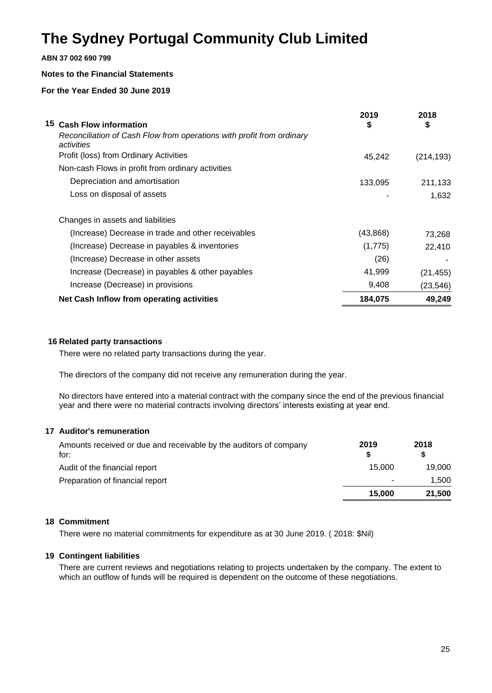#### **ABN 37 002 690 799**

#### **Notes to the Financial Statements**

#### **For the Year Ended 30 June 2019**

| 15 Cash Flow information                                                            | 2019<br>\$ | 2018<br>\$ |
|-------------------------------------------------------------------------------------|------------|------------|
| Reconciliation of Cash Flow from operations with profit from ordinary<br>activities |            |            |
| Profit (loss) from Ordinary Activities                                              | 45,242     | (214, 193) |
| Non-cash Flows in profit from ordinary activities                                   |            |            |
| Depreciation and amortisation                                                       | 133,095    | 211,133    |
| Loss on disposal of assets                                                          |            | 1,632      |
| Changes in assets and liabilities                                                   |            |            |
| (Increase) Decrease in trade and other receivables                                  | (43, 868)  | 73,268     |
| (Increase) Decrease in payables & inventories                                       | (1,775)    | 22,410     |
| (Increase) Decrease in other assets                                                 | (26)       |            |
| Increase (Decrease) in payables & other payables                                    | 41,999     | (21, 455)  |
| Increase (Decrease) in provisions                                                   | 9,408      | (23, 546)  |
| Net Cash Inflow from operating activities                                           | 184,075    | 49,249     |

#### **16 Related party transactions**

There were no related party transactions during the year.

The directors of the company did not receive any remuneration during the year.

No directors have entered into a material contract with the company since the end of the previous financial year and there were no material contracts involving directors' interests existing at year end.

#### **17 Auditor's remuneration**

| Amounts received or due and receivable by the auditors of company<br>for: | 2019   | 2018   |
|---------------------------------------------------------------------------|--------|--------|
| Audit of the financial report                                             | 15.000 | 19.000 |
| Preparation of financial report                                           | -      | 1,500  |
|                                                                           | 15.000 | 21,500 |

#### **18 Commitment**

There were no material commitments for expenditure as at 30 June 2019. ( 2018: \$Nil)

#### **19 Contingent liabilities**

There are current reviews and negotiations relating to projects undertaken by the company. The extent to which an outflow of funds will be required is dependent on the outcome of these negotiations.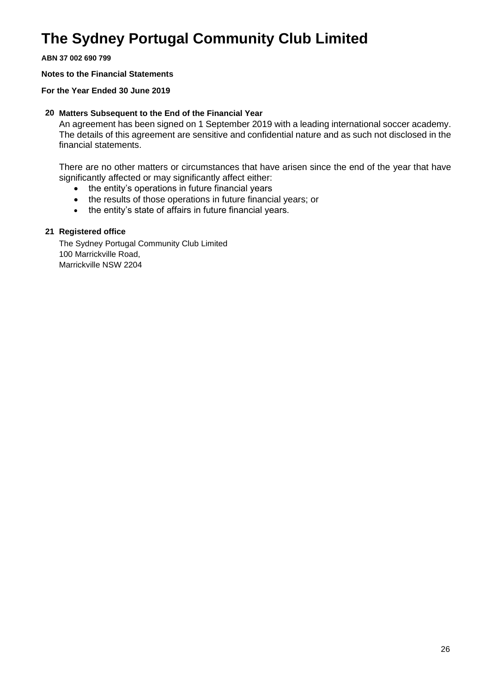**ABN 37 002 690 799**

#### **Notes to the Financial Statements**

#### **For the Year Ended 30 June 2019**

#### **20 Matters Subsequent to the End of the Financial Year**

An agreement has been signed on 1 September 2019 with a leading international soccer academy. The details of this agreement are sensitive and confidential nature and as such not disclosed in the financial statements.

There are no other matters or circumstances that have arisen since the end of the year that have significantly affected or may significantly affect either:

- the entity's operations in future financial years
- the results of those operations in future financial years; or
- the entity's state of affairs in future financial years.

#### **21 Registered office**

The Sydney Portugal Community Club Limited 100 Marrickville Road, Marrickville NSW 2204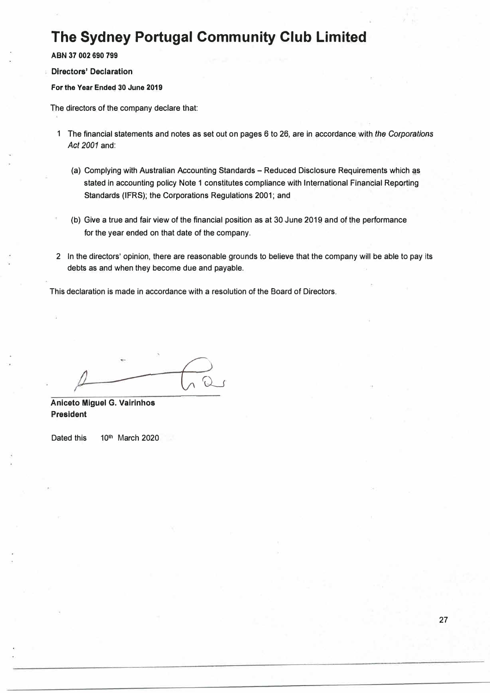**ABN 37 002 690 799** 

**Directors' Declaration** 

**For the Year Ended 30 June 2019** 

The directors of the company declare that:

- 1 The financial statements and notes as set out on pages 6 to 26, are in accordance with *the Corporations*  Act 2001 and:
	- (a) Complying with Australian Accounting Standards Reduced Disclosure Requirements which as stated in accounting policy Note 1 constitutes compliance with International Financial Reporting Standards (IFRS); the Corporations Regulations 2001; and
	- (b) Give a true and fair view of the financial position as at 30 June 2019 and of the performance for the year ended on that date of the company.
- 2 In the directors' opinion, there are reasonable grounds to believe that the company will be able to pay its debts as and when they become due and payable.

This declaration is made in accordance with a resolution of the Board of Directors.

*I*   $\cup$ 

**Anlceto Mlguel G. Vairlnhos President** 

Dated this 10th March 2020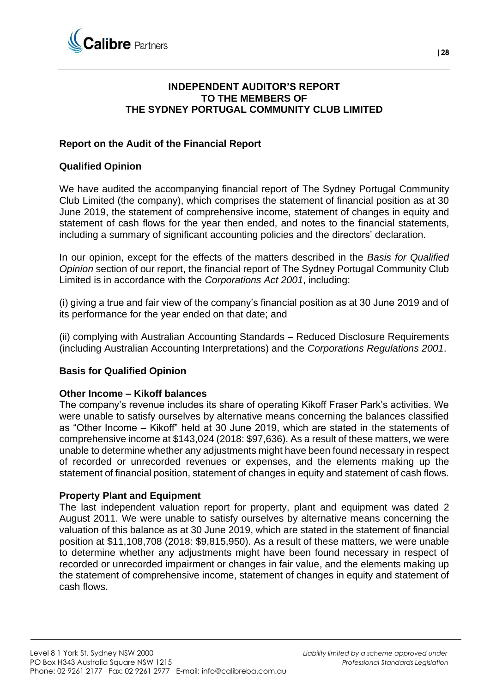

### **INDEPENDENT AUDITOR'S REPORT TO THE MEMBERS OF THE SYDNEY PORTUGAL COMMUNITY CLUB LIMITED**

### **Report on the Audit of the Financial Report**

### **Qualified Opinion**

We have audited the accompanying financial report of The Sydney Portugal Community Club Limited (the company), which comprises the statement of financial position as at 30 June 2019, the statement of comprehensive income, statement of changes in equity and statement of cash flows for the year then ended, and notes to the financial statements, including a summary of significant accounting policies and the directors' declaration.

In our opinion, except for the effects of the matters described in the *Basis for Qualified Opinion* section of our report, the financial report of The Sydney Portugal Community Club Limited is in accordance with the *Corporations Act 2001*, including:

(i) giving a true and fair view of the company's financial position as at 30 June 2019 and of its performance for the year ended on that date; and

(ii) complying with Australian Accounting Standards – Reduced Disclosure Requirements (including Australian Accounting Interpretations) and the *Corporations Regulations 2001*.

### **Basis for Qualified Opinion**

#### **Other Income – Kikoff balances**

The company's revenue includes its share of operating Kikoff Fraser Park's activities. We were unable to satisfy ourselves by alternative means concerning the balances classified as "Other Income – Kikoff" held at 30 June 2019, which are stated in the statements of comprehensive income at \$143,024 (2018: \$97,636). As a result of these matters, we were unable to determine whether any adjustments might have been found necessary in respect of recorded or unrecorded revenues or expenses, and the elements making up the statement of financial position, statement of changes in equity and statement of cash flows.

#### **Property Plant and Equipment**

The last independent valuation report for property, plant and equipment was dated 2 August 2011. We were unable to satisfy ourselves by alternative means concerning the valuation of this balance as at 30 June 2019, which are stated in the statement of financial position at \$11,108,708 (2018: \$9,815,950). As a result of these matters, we were unable to determine whether any adjustments might have been found necessary in respect of recorded or unrecorded impairment or changes in fair value, and the elements making up the statement of comprehensive income, statement of changes in equity and statement of cash flows.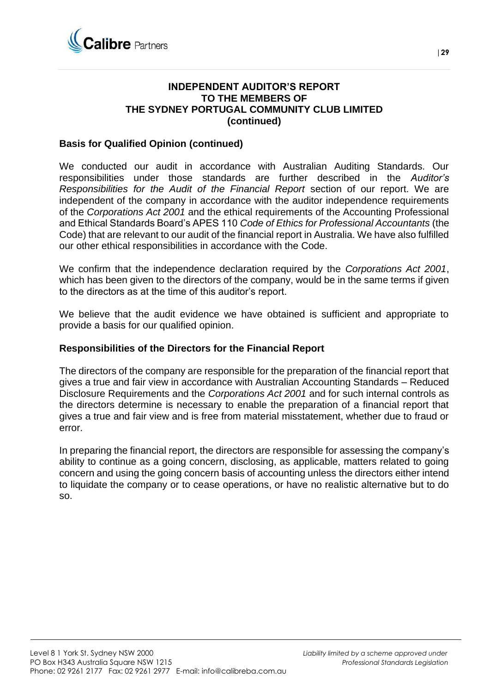

### **INDEPENDENT AUDITOR'S REPORT TO THE MEMBERS OF THE SYDNEY PORTUGAL COMMUNITY CLUB LIMITED (continued)**

### **Basis for Qualified Opinion (continued)**

We conducted our audit in accordance with Australian Auditing Standards. Our responsibilities under those standards are further described in the *Auditor's Responsibilities for the Audit of the Financial Report* section of our report. We are independent of the company in accordance with the auditor independence requirements of the *Corporations Act 2001* and the ethical requirements of the Accounting Professional and Ethical Standards Board's APES 110 *Code of Ethics for Professional Accountants* (the Code) that are relevant to our audit of the financial report in Australia. We have also fulfilled our other ethical responsibilities in accordance with the Code.

We confirm that the independence declaration required by the *Corporations Act 2001*, which has been given to the directors of the company, would be in the same terms if given to the directors as at the time of this auditor's report.

We believe that the audit evidence we have obtained is sufficient and appropriate to provide a basis for our qualified opinion.

#### **Responsibilities of the Directors for the Financial Report**

The directors of the company are responsible for the preparation of the financial report that gives a true and fair view in accordance with Australian Accounting Standards – Reduced Disclosure Requirements and the *Corporations Act 2001* and for such internal controls as the directors determine is necessary to enable the preparation of a financial report that gives a true and fair view and is free from material misstatement, whether due to fraud or error.

In preparing the financial report, the directors are responsible for assessing the company's ability to continue as a going concern, disclosing, as applicable, matters related to going concern and using the going concern basis of accounting unless the directors either intend to liquidate the company or to cease operations, or have no realistic alternative but to do so.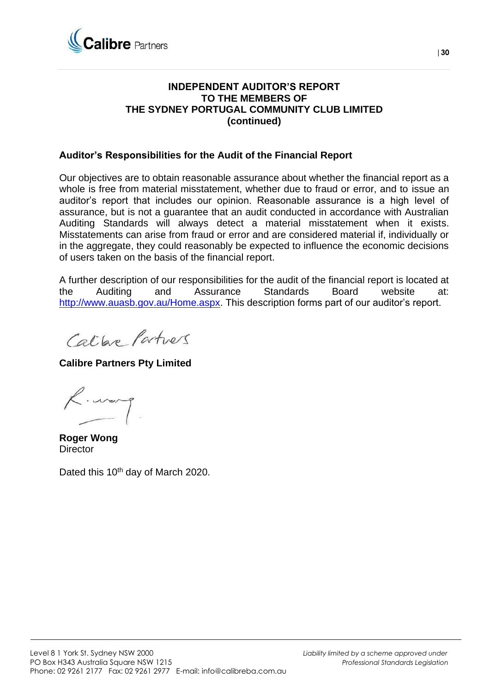

### **INDEPENDENT AUDITOR'S REPORT TO THE MEMBERS OF THE SYDNEY PORTUGAL COMMUNITY CLUB LIMITED (continued)**

### **Auditor's Responsibilities for the Audit of the Financial Report**

Our objectives are to obtain reasonable assurance about whether the financial report as a whole is free from material misstatement, whether due to fraud or error, and to issue an auditor's report that includes our opinion. Reasonable assurance is a high level of assurance, but is not a guarantee that an audit conducted in accordance with Australian Auditing Standards will always detect a material misstatement when it exists. Misstatements can arise from fraud or error and are considered material if, individually or in the aggregate, they could reasonably be expected to influence the economic decisions of users taken on the basis of the financial report.

A further description of our responsibilities for the audit of the financial report is located at the Auditing and Assurance Standards Board website at: [http://www.auasb.gov.au/Home.aspx.](http://www.auasb.gov.au/Home.aspx) This description forms part of our auditor's report.

Calbre Partners

**Calibre Partners Pty Limited**

K. warp

**Roger Wong Director** 

Dated this 10<sup>th</sup> day of March 2020.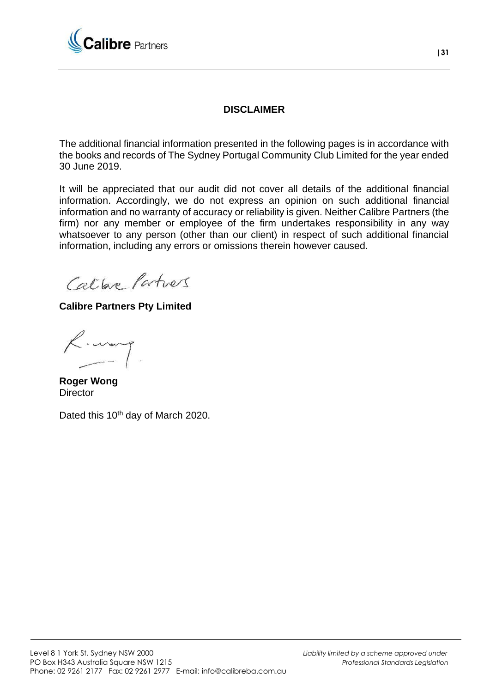

### **DISCLAIMER**

The additional financial information presented in the following pages is in accordance with the books and records of The Sydney Portugal Community Club Limited for the year ended 30 June 2019.

It will be appreciated that our audit did not cover all details of the additional financial information. Accordingly, we do not express an opinion on such additional financial information and no warranty of accuracy or reliability is given. Neither Calibre Partners (the firm) nor any member or employee of the firm undertakes responsibility in any way whatsoever to any person (other than our client) in respect of such additional financial information, including any errors or omissions therein however caused.

Calbre Partners

**Calibre Partners Pty Limited**

R. warp

**Roger Wong Director** 

Dated this 10<sup>th</sup> day of March 2020.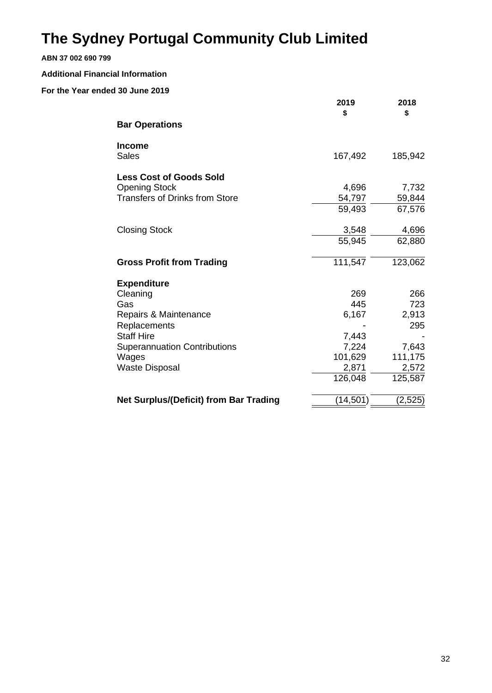#### **ABN 37 002 690 799**

#### **Additional Financial Information**

|                                               | 2019<br>\$ | 2018<br>\$ |
|-----------------------------------------------|------------|------------|
| <b>Bar Operations</b>                         |            |            |
| <b>Income</b><br>Sales                        | 167,492    | 185,942    |
| <b>Less Cost of Goods Sold</b>                |            |            |
| <b>Opening Stock</b>                          | 4,696      | 7,732      |
| <b>Transfers of Drinks from Store</b>         | 54,797     | 59,844     |
|                                               | 59,493     | 67,576     |
| <b>Closing Stock</b>                          | 3,548      | 4,696      |
|                                               | 55,945     | 62,880     |
| <b>Gross Profit from Trading</b>              | 111,547    | 123,062    |
| <b>Expenditure</b>                            |            |            |
| Cleaning                                      | 269        | 266        |
| Gas                                           | 445        | 723        |
| Repairs & Maintenance                         | 6,167      | 2,913      |
| Replacements                                  |            | 295        |
| <b>Staff Hire</b>                             | 7,443      |            |
| <b>Superannuation Contributions</b>           | 7,224      | 7,643      |
| Wages                                         | 101,629    | 111,175    |
| <b>Waste Disposal</b>                         | 2,871      | 2,572      |
|                                               | 126,048    | 125,587    |
| <b>Net Surplus/(Deficit) from Bar Trading</b> | (14, 501)  | (2,525)    |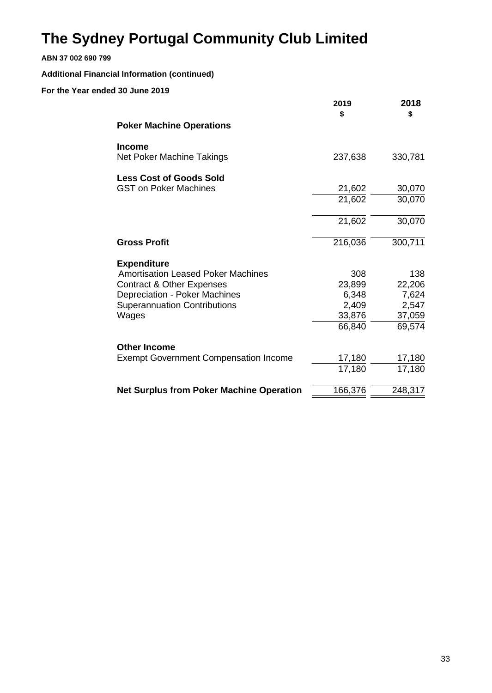### **ABN 37 002 690 799**

### **Additional Financial Information (continued)**

|                                                 | 2019<br>\$ | 2018<br>\$ |
|-------------------------------------------------|------------|------------|
| <b>Poker Machine Operations</b>                 |            |            |
| <b>Income</b>                                   |            |            |
| Net Poker Machine Takings                       | 237,638    | 330,781    |
| <b>Less Cost of Goods Sold</b>                  |            |            |
| <b>GST on Poker Machines</b>                    | 21,602     | 30,070     |
|                                                 | 21,602     | 30,070     |
|                                                 | 21,602     | 30,070     |
| <b>Gross Profit</b>                             | 216,036    | 300,711    |
| <b>Expenditure</b>                              |            |            |
| <b>Amortisation Leased Poker Machines</b>       | 308        | 138        |
| <b>Contract &amp; Other Expenses</b>            | 23,899     | 22,206     |
| <b>Depreciation - Poker Machines</b>            | 6,348      | 7,624      |
| <b>Superannuation Contributions</b>             | 2,409      | 2,547      |
| Wages                                           | 33,876     | 37,059     |
|                                                 | 66,840     | 69,574     |
| <b>Other Income</b>                             |            |            |
| <b>Exempt Government Compensation Income</b>    | 17,180     | 17,180     |
|                                                 | 17,180     | 17,180     |
| <b>Net Surplus from Poker Machine Operation</b> | 166,376    | 248,317    |
|                                                 |            |            |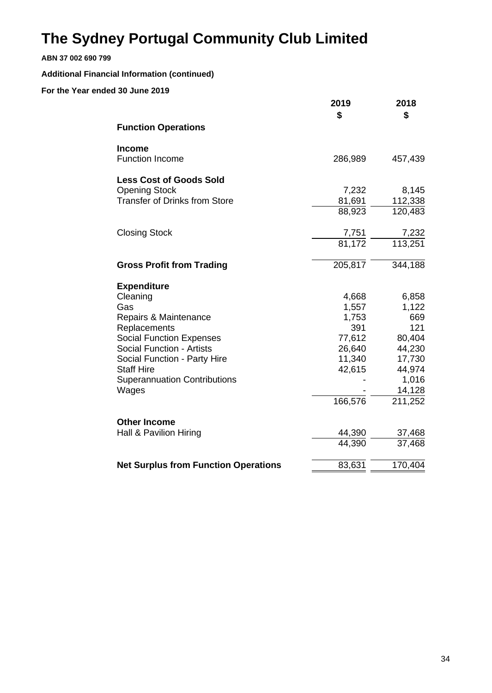#### **ABN 37 002 690 799**

### **Additional Financial Information (continued)**

|                                                                                                                                                                                                                                                            | 2019<br>\$                                                                        | 2018<br>\$                                                                                         |
|------------------------------------------------------------------------------------------------------------------------------------------------------------------------------------------------------------------------------------------------------------|-----------------------------------------------------------------------------------|----------------------------------------------------------------------------------------------------|
| <b>Function Operations</b>                                                                                                                                                                                                                                 |                                                                                   |                                                                                                    |
| <b>Income</b><br><b>Function Income</b>                                                                                                                                                                                                                    | 286,989                                                                           | 457,439                                                                                            |
| <b>Less Cost of Goods Sold</b><br><b>Opening Stock</b><br><b>Transfer of Drinks from Store</b>                                                                                                                                                             | 7,232<br>81,691<br>88,923                                                         | 8,145<br>112,338<br>120,483                                                                        |
| <b>Closing Stock</b>                                                                                                                                                                                                                                       | $\frac{7,751}{81,172}$                                                            | $\frac{7,232}{113,251}$                                                                            |
| <b>Gross Profit from Trading</b>                                                                                                                                                                                                                           | 205,817                                                                           | 344,188                                                                                            |
| <b>Expenditure</b><br>Cleaning<br>Gas<br>Repairs & Maintenance<br>Replacements<br><b>Social Function Expenses</b><br><b>Social Function - Artists</b><br>Social Function - Party Hire<br><b>Staff Hire</b><br><b>Superannuation Contributions</b><br>Wages | 4,668<br>1,557<br>1,753<br>391<br>77,612<br>26,640<br>11,340<br>42,615<br>166,576 | 6,858<br>1,122<br>669<br>121<br>80,404<br>44,230<br>17,730<br>44,974<br>1,016<br>14,128<br>211,252 |
| <b>Other Income</b><br>Hall & Pavilion Hiring                                                                                                                                                                                                              | 44,390<br>44,390                                                                  | 37,468<br>37,468                                                                                   |
| <b>Net Surplus from Function Operations</b>                                                                                                                                                                                                                | 83,631                                                                            | 170,404                                                                                            |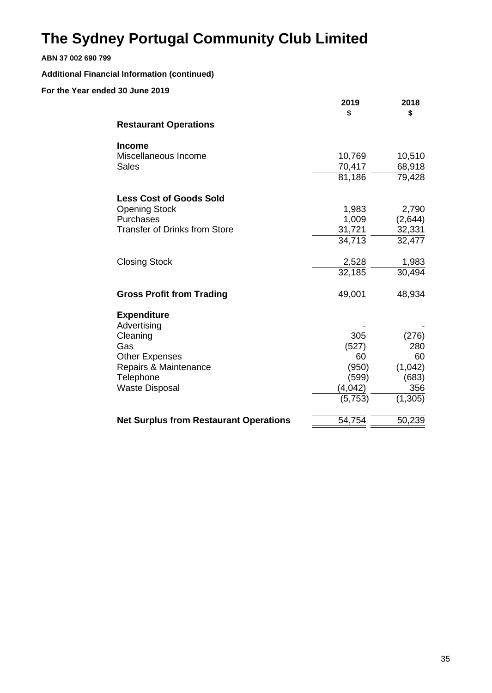#### **ABN 37 002 690 799**

### **Additional Financial Information (continued)**

|                                                | 2019<br>\$       | 2018<br>\$ |
|------------------------------------------------|------------------|------------|
| <b>Restaurant Operations</b>                   |                  |            |
| <b>Income</b>                                  |                  |            |
| Miscellaneous Income                           | 10,769           | 10,510     |
| <b>Sales</b>                                   | 70,417<br>81,186 | 68,918     |
|                                                |                  | 79,428     |
| <b>Less Cost of Goods Sold</b>                 |                  |            |
| <b>Opening Stock</b>                           | 1,983            | 2,790      |
| Purchases                                      | 1,009            | (2,644)    |
| <b>Transfer of Drinks from Store</b>           | 31,721           | 32,331     |
|                                                | 34,713           | 32,477     |
| <b>Closing Stock</b>                           | 2,528            | 1,983      |
|                                                | 32,185           | 30,494     |
| <b>Gross Profit from Trading</b>               | 49,001           | 48,934     |
| <b>Expenditure</b>                             |                  |            |
| Advertising                                    |                  |            |
| Cleaning                                       | 305              | (276)      |
| Gas                                            | (527)<br>60      | 280<br>60  |
| <b>Other Expenses</b><br>Repairs & Maintenance | (950)            | (1,042)    |
| Telephone                                      | (599)            | (683)      |
| <b>Waste Disposal</b>                          | (4,042)          | 356        |
|                                                | (5,753)          | (1, 305)   |
| <b>Net Surplus from Restaurant Operations</b>  | 54,754           | 50,239     |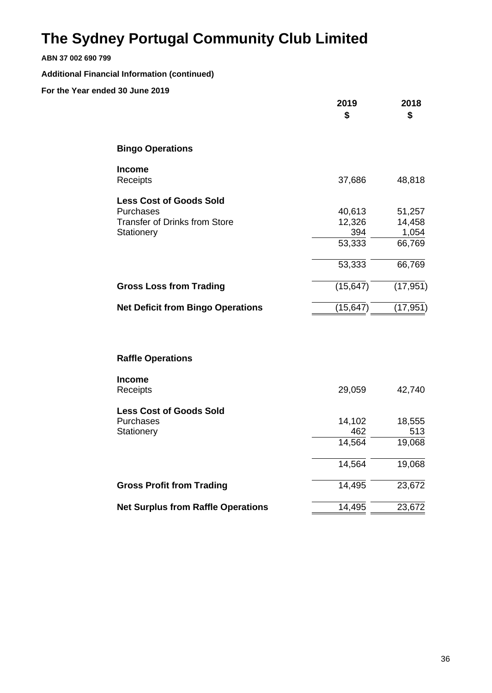#### **ABN 37 002 690 799**

### **Additional Financial Information (continued)**

|                                                                                                   | 2019<br>\$                                  | 2018<br>\$                                    |
|---------------------------------------------------------------------------------------------------|---------------------------------------------|-----------------------------------------------|
| <b>Bingo Operations</b>                                                                           |                                             |                                               |
| <b>Income</b><br>Receipts                                                                         | 37,686                                      | 48,818                                        |
| <b>Less Cost of Goods Sold</b><br>Purchases<br><b>Transfer of Drinks from Store</b><br>Stationery | 40,613<br>12,326<br>394<br>53,333<br>53,333 | 51,257<br>14,458<br>1,054<br>66,769<br>66,769 |
| <b>Gross Loss from Trading</b>                                                                    | (15, 647)                                   | (17, 951)                                     |
| <b>Net Deficit from Bingo Operations</b>                                                          | (15, 647)                                   | (17, 951)                                     |
| <b>Raffle Operations</b>                                                                          |                                             |                                               |
| <b>Income</b><br>Receipts                                                                         | 29,059                                      | 42,740                                        |
| <b>Less Cost of Goods Sold</b><br>Purchases<br>Stationery                                         | 14,102<br>462<br>14,564<br>14,564           | 18,555<br>513<br>19,068<br>19,068             |
| <b>Gross Profit from Trading</b>                                                                  | 14,495                                      | 23,672                                        |
| <b>Net Surplus from Raffle Operations</b>                                                         | 14,495                                      | 23,672                                        |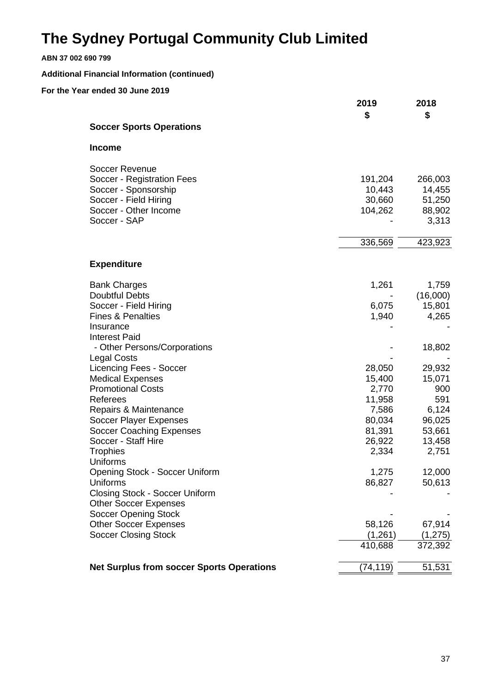#### **ABN 37 002 690 799**

### **Additional Financial Information (continued)**

|                                                  | 2019<br>\$      | 2018<br>\$      |
|--------------------------------------------------|-----------------|-----------------|
| <b>Soccer Sports Operations</b>                  |                 |                 |
| <b>Income</b>                                    |                 |                 |
| <b>Soccer Revenue</b>                            |                 |                 |
| Soccer - Registration Fees                       | 191,204         | 266,003         |
| Soccer - Sponsorship                             | 10,443          | 14,455          |
| Soccer - Field Hiring                            | 30,660          | 51,250          |
| Soccer - Other Income                            | 104,262         | 88,902          |
| Soccer - SAP                                     |                 | 3,313           |
|                                                  | 336,569         | 423,923         |
| <b>Expenditure</b>                               |                 |                 |
| <b>Bank Charges</b>                              | 1,261           | 1,759           |
| <b>Doubtful Debts</b>                            |                 | (16,000)        |
| Soccer - Field Hiring                            | 6,075           | 15,801          |
| <b>Fines &amp; Penalties</b>                     | 1,940           | 4,265           |
| Insurance                                        |                 |                 |
| <b>Interest Paid</b>                             |                 |                 |
| - Other Persons/Corporations                     |                 | 18,802          |
| <b>Legal Costs</b>                               |                 |                 |
| <b>Licencing Fees - Soccer</b>                   | 28,050          | 29,932          |
| <b>Medical Expenses</b>                          | 15,400          | 15,071          |
| <b>Promotional Costs</b>                         | 2,770           | 900             |
| Referees                                         | 11,958          | 591             |
| Repairs & Maintenance<br>Soccer Player Expenses  | 7,586<br>80,034 | 6,124<br>96,025 |
| <b>Soccer Coaching Expenses</b>                  | 81,391          | 53,661          |
| Soccer - Staff Hire                              | 26,922          | 13,458          |
| <b>Trophies</b>                                  | 2,334           | 2,751           |
| Uniforms                                         |                 |                 |
| Opening Stock - Soccer Uniform                   | 1,275           | 12,000          |
| Uniforms                                         | 86,827          | 50,613          |
| <b>Closing Stock - Soccer Uniform</b>            |                 |                 |
| <b>Other Soccer Expenses</b>                     |                 |                 |
| <b>Soccer Opening Stock</b>                      |                 |                 |
| <b>Other Soccer Expenses</b>                     | 58,126          | 67,914          |
| <b>Soccer Closing Stock</b>                      | (1,261)         | (1, 275)        |
|                                                  | 410,688         | 372,392         |
| <b>Net Surplus from soccer Sports Operations</b> | (74, 119)       | 51,531          |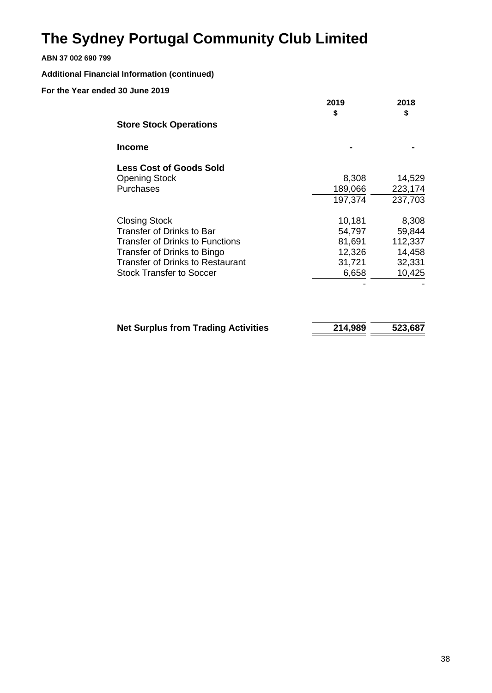### **ABN 37 002 690 799**

### **Additional Financial Information (continued)**

|                                         | 2019    | 2018<br>\$ |
|-----------------------------------------|---------|------------|
| <b>Store Stock Operations</b>           | \$      |            |
| Income                                  |         |            |
| <b>Less Cost of Goods Sold</b>          |         |            |
| <b>Opening Stock</b>                    | 8,308   | 14,529     |
| Purchases                               | 189,066 | 223,174    |
|                                         | 197,374 | 237,703    |
| <b>Closing Stock</b>                    | 10,181  | 8,308      |
| <b>Transfer of Drinks to Bar</b>        | 54,797  | 59,844     |
| <b>Transfer of Drinks to Functions</b>  | 81,691  | 112,337    |
| Transfer of Drinks to Bingo             | 12,326  | 14,458     |
| <b>Transfer of Drinks to Restaurant</b> | 31,721  | 32,331     |
| <b>Stock Transfer to Soccer</b>         | 6,658   | 10,425     |
|                                         |         |            |
|                                         |         |            |
|                                         |         |            |
|                                         |         |            |

| <b>Net Surplus from Trading Activities</b> | 214,989 | 523,687 |
|--------------------------------------------|---------|---------|
|                                            |         |         |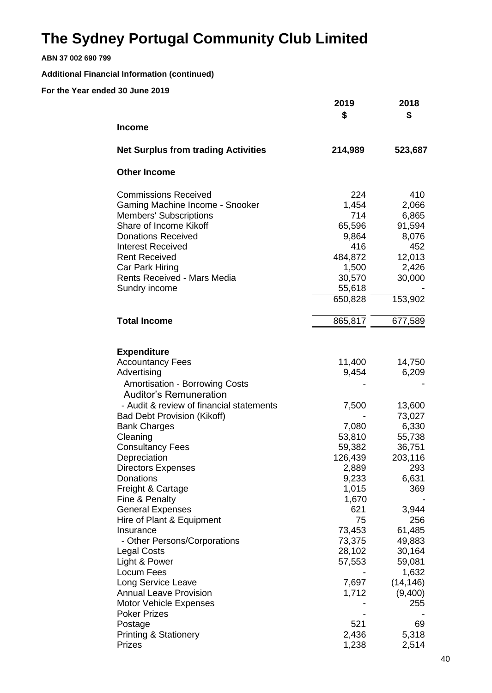**ABN 37 002 690 799**

### **Additional Financial Information (continued)**

|                                            | 2019<br>\$ | 2018<br>\$ |
|--------------------------------------------|------------|------------|
| <b>Income</b>                              |            |            |
| <b>Net Surplus from trading Activities</b> | 214,989    | 523,687    |
| <b>Other Income</b>                        |            |            |
| <b>Commissions Received</b>                | 224        | 410        |
| Gaming Machine Income - Snooker            | 1,454      | 2,066      |
| <b>Members' Subscriptions</b>              | 714        | 6,865      |
| Share of Income Kikoff                     | 65,596     | 91,594     |
| <b>Donations Received</b>                  | 9,864      | 8,076      |
| <b>Interest Received</b>                   | 416        | 452        |
| <b>Rent Received</b>                       | 484,872    | 12,013     |
| Car Park Hiring                            | 1,500      | 2,426      |
| <b>Rents Received - Mars Media</b>         | 30,570     | 30,000     |
| Sundry income                              | 55,618     |            |
|                                            | 650,828    | 153,902    |
| <b>Total Income</b>                        | 865,817    | 677,589    |
| <b>Expenditure</b>                         |            |            |
| <b>Accountancy Fees</b>                    | 11,400     | 14,750     |
| Advertising                                | 9,454      | 6,209      |
| <b>Amortisation - Borrowing Costs</b>      |            |            |
| <b>Auditor's Remuneration</b>              |            |            |
| - Audit & review of financial statements   | 7,500      | 13,600     |
| <b>Bad Debt Provision (Kikoff)</b>         |            | 73,027     |
| <b>Bank Charges</b>                        | 7,080      | 6,330      |
| Cleaning                                   | 53,810     | 55,738     |
| <b>Consultancy Fees</b>                    | 59,382     | 36,751     |
| Depreciation                               | 126,439    | 203,116    |
| <b>Directors Expenses</b>                  | 2,889      | 293        |
| Donations                                  | 9,233      | 6,631      |
| Freight & Cartage                          | 1,015      | 369        |
| Fine & Penalty                             | 1,670      |            |
| <b>General Expenses</b>                    | 621        | 3,944      |
| Hire of Plant & Equipment                  | 75         | 256        |
| Insurance                                  | 73,453     | 61,485     |
| - Other Persons/Corporations               | 73,375     | 49,883     |
| <b>Legal Costs</b>                         | 28,102     | 30,164     |
| Light & Power                              | 57,553     | 59,081     |
| Locum Fees                                 |            | 1,632      |
| Long Service Leave                         | 7,697      | (14, 146)  |
| <b>Annual Leave Provision</b>              | 1,712      | (9,400)    |
| <b>Motor Vehicle Expenses</b>              |            | 255        |
| <b>Poker Prizes</b>                        |            |            |
| Postage                                    | 521        | 69         |
| <b>Printing &amp; Stationery</b>           | 2,436      | 5,318      |
| Prizes                                     | 1,238      | 2,514      |
|                                            |            |            |